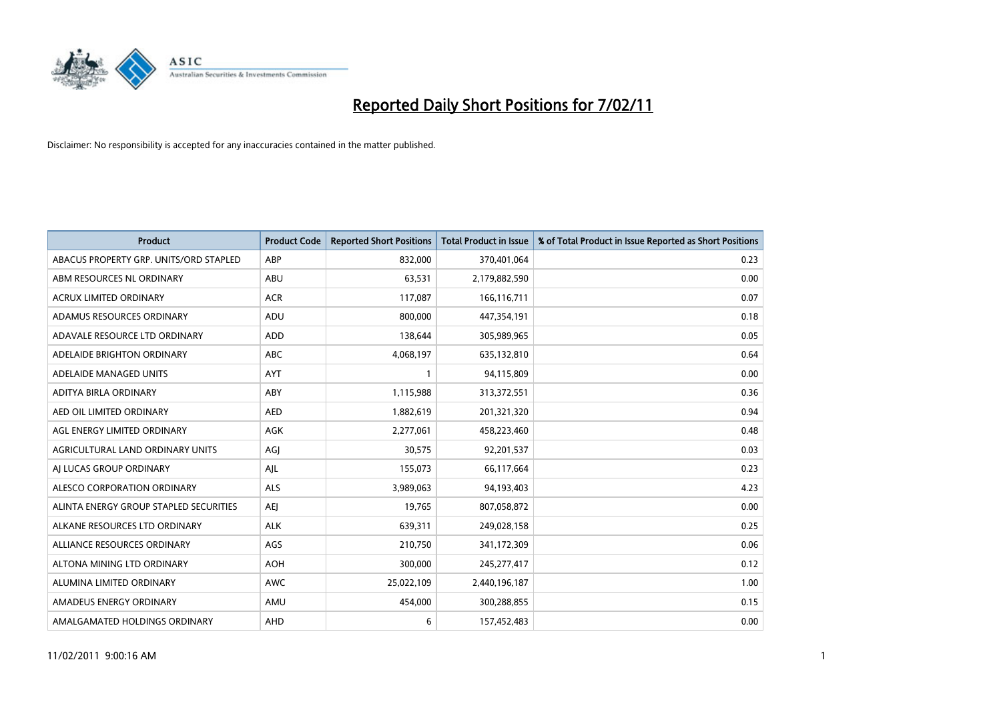

| Product                                | <b>Product Code</b> | <b>Reported Short Positions</b> | <b>Total Product in Issue</b> | % of Total Product in Issue Reported as Short Positions |
|----------------------------------------|---------------------|---------------------------------|-------------------------------|---------------------------------------------------------|
| ABACUS PROPERTY GRP. UNITS/ORD STAPLED | ABP                 | 832,000                         | 370,401,064                   | 0.23                                                    |
| ABM RESOURCES NL ORDINARY              | ABU                 | 63,531                          | 2,179,882,590                 | 0.00                                                    |
| <b>ACRUX LIMITED ORDINARY</b>          | <b>ACR</b>          | 117,087                         | 166,116,711                   | 0.07                                                    |
| ADAMUS RESOURCES ORDINARY              | ADU                 | 800,000                         | 447,354,191                   | 0.18                                                    |
| ADAVALE RESOURCE LTD ORDINARY          | <b>ADD</b>          | 138,644                         | 305,989,965                   | 0.05                                                    |
| ADELAIDE BRIGHTON ORDINARY             | <b>ABC</b>          | 4,068,197                       | 635,132,810                   | 0.64                                                    |
| ADELAIDE MANAGED UNITS                 | <b>AYT</b>          |                                 | 94,115,809                    | 0.00                                                    |
| ADITYA BIRLA ORDINARY                  | ABY                 | 1,115,988                       | 313,372,551                   | 0.36                                                    |
| AED OIL LIMITED ORDINARY               | <b>AED</b>          | 1,882,619                       | 201,321,320                   | 0.94                                                    |
| AGL ENERGY LIMITED ORDINARY            | AGK                 | 2,277,061                       | 458,223,460                   | 0.48                                                    |
| AGRICULTURAL LAND ORDINARY UNITS       | AGJ                 | 30,575                          | 92,201,537                    | 0.03                                                    |
| AI LUCAS GROUP ORDINARY                | AJL                 | 155,073                         | 66,117,664                    | 0.23                                                    |
| ALESCO CORPORATION ORDINARY            | <b>ALS</b>          | 3,989,063                       | 94,193,403                    | 4.23                                                    |
| ALINTA ENERGY GROUP STAPLED SECURITIES | <b>AEI</b>          | 19.765                          | 807,058,872                   | 0.00                                                    |
| ALKANE RESOURCES LTD ORDINARY          | <b>ALK</b>          | 639,311                         | 249,028,158                   | 0.25                                                    |
| ALLIANCE RESOURCES ORDINARY            | AGS                 | 210,750                         | 341,172,309                   | 0.06                                                    |
| ALTONA MINING LTD ORDINARY             | <b>AOH</b>          | 300,000                         | 245,277,417                   | 0.12                                                    |
| ALUMINA LIMITED ORDINARY               | <b>AWC</b>          | 25,022,109                      | 2,440,196,187                 | 1.00                                                    |
| AMADEUS ENERGY ORDINARY                | AMU                 | 454,000                         | 300,288,855                   | 0.15                                                    |
| AMALGAMATED HOLDINGS ORDINARY          | <b>AHD</b>          | 6                               | 157,452,483                   | 0.00                                                    |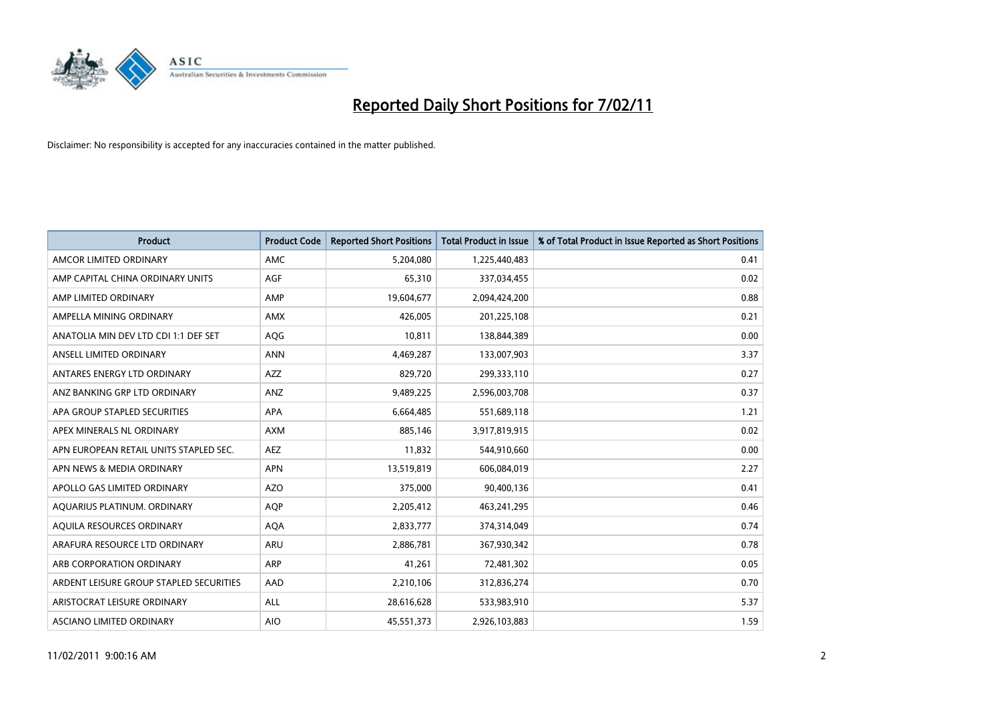

| <b>Product</b>                          | <b>Product Code</b> | <b>Reported Short Positions</b> | Total Product in Issue | % of Total Product in Issue Reported as Short Positions |
|-----------------------------------------|---------------------|---------------------------------|------------------------|---------------------------------------------------------|
| AMCOR LIMITED ORDINARY                  | <b>AMC</b>          | 5,204,080                       | 1,225,440,483          | 0.41                                                    |
| AMP CAPITAL CHINA ORDINARY UNITS        | AGF                 | 65,310                          | 337,034,455            | 0.02                                                    |
| AMP LIMITED ORDINARY                    | AMP                 | 19,604,677                      | 2,094,424,200          | 0.88                                                    |
| AMPELLA MINING ORDINARY                 | <b>AMX</b>          | 426.005                         | 201,225,108            | 0.21                                                    |
| ANATOLIA MIN DEV LTD CDI 1:1 DEF SET    | AQG                 | 10,811                          | 138,844,389            | 0.00                                                    |
| ANSELL LIMITED ORDINARY                 | <b>ANN</b>          | 4,469,287                       | 133,007,903            | 3.37                                                    |
| ANTARES ENERGY LTD ORDINARY             | <b>AZZ</b>          | 829,720                         | 299,333,110            | 0.27                                                    |
| ANZ BANKING GRP LTD ORDINARY            | ANZ                 | 9,489,225                       | 2,596,003,708          | 0.37                                                    |
| APA GROUP STAPLED SECURITIES            | <b>APA</b>          | 6,664,485                       | 551,689,118            | 1.21                                                    |
| APEX MINERALS NL ORDINARY               | <b>AXM</b>          | 885,146                         | 3,917,819,915          | 0.02                                                    |
| APN EUROPEAN RETAIL UNITS STAPLED SEC.  | <b>AEZ</b>          | 11,832                          | 544,910,660            | 0.00                                                    |
| APN NEWS & MEDIA ORDINARY               | <b>APN</b>          | 13,519,819                      | 606,084,019            | 2.27                                                    |
| APOLLO GAS LIMITED ORDINARY             | <b>AZO</b>          | 375,000                         | 90,400,136             | 0.41                                                    |
| AQUARIUS PLATINUM. ORDINARY             | <b>AOP</b>          | 2,205,412                       | 463,241,295            | 0.46                                                    |
| AQUILA RESOURCES ORDINARY               | <b>AQA</b>          | 2,833,777                       | 374,314,049            | 0.74                                                    |
| ARAFURA RESOURCE LTD ORDINARY           | <b>ARU</b>          | 2,886,781                       | 367,930,342            | 0.78                                                    |
| ARB CORPORATION ORDINARY                | <b>ARP</b>          | 41,261                          | 72,481,302             | 0.05                                                    |
| ARDENT LEISURE GROUP STAPLED SECURITIES | AAD                 | 2,210,106                       | 312,836,274            | 0.70                                                    |
| ARISTOCRAT LEISURE ORDINARY             | ALL                 | 28,616,628                      | 533,983,910            | 5.37                                                    |
| ASCIANO LIMITED ORDINARY                | <b>AIO</b>          | 45,551,373                      | 2,926,103,883          | 1.59                                                    |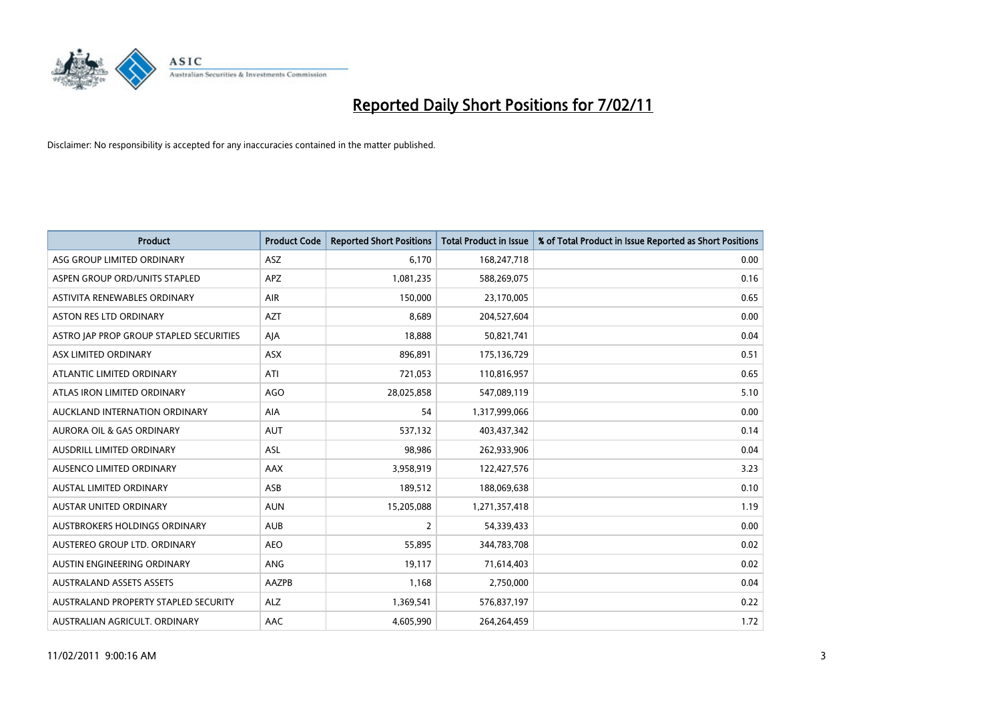

| <b>Product</b>                          | <b>Product Code</b> | <b>Reported Short Positions</b> | Total Product in Issue | % of Total Product in Issue Reported as Short Positions |
|-----------------------------------------|---------------------|---------------------------------|------------------------|---------------------------------------------------------|
| ASG GROUP LIMITED ORDINARY              | <b>ASZ</b>          | 6,170                           | 168,247,718            | 0.00                                                    |
| ASPEN GROUP ORD/UNITS STAPLED           | <b>APZ</b>          | 1,081,235                       | 588,269,075            | 0.16                                                    |
| ASTIVITA RENEWABLES ORDINARY            | <b>AIR</b>          | 150.000                         | 23,170,005             | 0.65                                                    |
| ASTON RES LTD ORDINARY                  | <b>AZT</b>          | 8,689                           | 204,527,604            | 0.00                                                    |
| ASTRO JAP PROP GROUP STAPLED SECURITIES | AJA                 | 18,888                          | 50,821,741             | 0.04                                                    |
| ASX LIMITED ORDINARY                    | <b>ASX</b>          | 896,891                         | 175,136,729            | 0.51                                                    |
| ATLANTIC LIMITED ORDINARY               | ATI                 | 721,053                         | 110,816,957            | 0.65                                                    |
| ATLAS IRON LIMITED ORDINARY             | <b>AGO</b>          | 28,025,858                      | 547,089,119            | 5.10                                                    |
| AUCKLAND INTERNATION ORDINARY           | AIA                 | 54                              | 1,317,999,066          | 0.00                                                    |
| <b>AURORA OIL &amp; GAS ORDINARY</b>    | <b>AUT</b>          | 537,132                         | 403,437,342            | 0.14                                                    |
| AUSDRILL LIMITED ORDINARY               | <b>ASL</b>          | 98,986                          | 262,933,906            | 0.04                                                    |
| AUSENCO LIMITED ORDINARY                | <b>AAX</b>          | 3,958,919                       | 122,427,576            | 3.23                                                    |
| <b>AUSTAL LIMITED ORDINARY</b>          | ASB                 | 189,512                         | 188,069,638            | 0.10                                                    |
| <b>AUSTAR UNITED ORDINARY</b>           | <b>AUN</b>          | 15,205,088                      | 1,271,357,418          | 1.19                                                    |
| AUSTBROKERS HOLDINGS ORDINARY           | <b>AUB</b>          | 2                               | 54,339,433             | 0.00                                                    |
| AUSTEREO GROUP LTD. ORDINARY            | <b>AEO</b>          | 55,895                          | 344,783,708            | 0.02                                                    |
| AUSTIN ENGINEERING ORDINARY             | ANG                 | 19,117                          | 71,614,403             | 0.02                                                    |
| <b>AUSTRALAND ASSETS ASSETS</b>         | AAZPB               | 1,168                           | 2,750,000              | 0.04                                                    |
| AUSTRALAND PROPERTY STAPLED SECURITY    | <b>ALZ</b>          | 1,369,541                       | 576,837,197            | 0.22                                                    |
| AUSTRALIAN AGRICULT. ORDINARY           | AAC                 | 4,605,990                       | 264,264,459            | 1.72                                                    |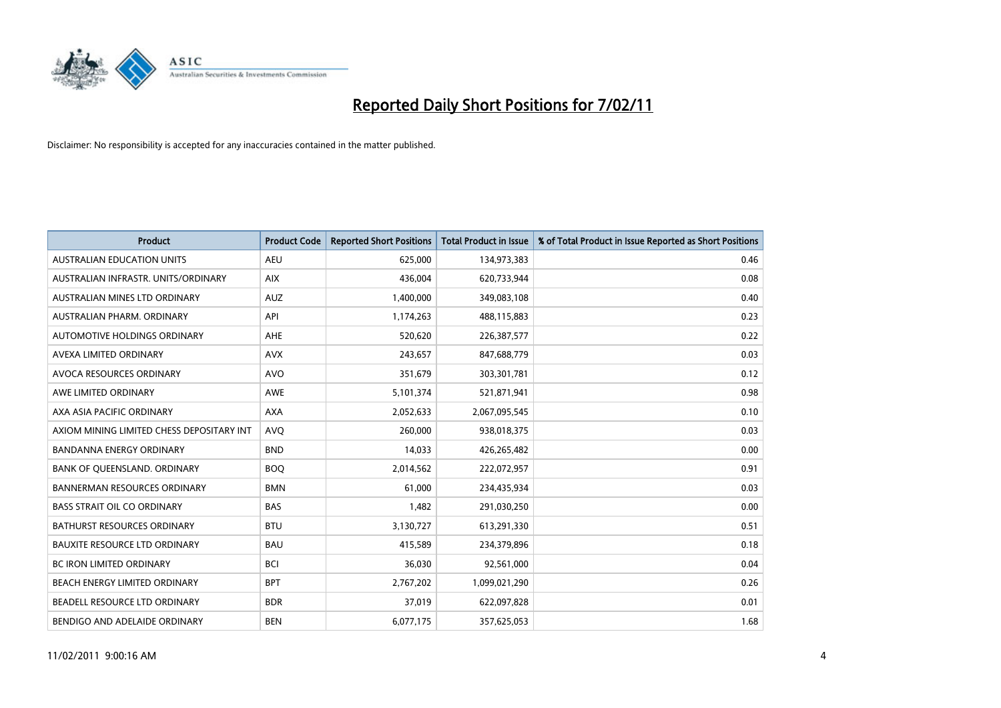

| <b>Product</b>                            | <b>Product Code</b> | <b>Reported Short Positions</b> | <b>Total Product in Issue</b> | % of Total Product in Issue Reported as Short Positions |
|-------------------------------------------|---------------------|---------------------------------|-------------------------------|---------------------------------------------------------|
| <b>AUSTRALIAN EDUCATION UNITS</b>         | <b>AEU</b>          | 625,000                         | 134,973,383                   | 0.46                                                    |
| AUSTRALIAN INFRASTR, UNITS/ORDINARY       | <b>AIX</b>          | 436.004                         | 620,733,944                   | 0.08                                                    |
| AUSTRALIAN MINES LTD ORDINARY             | <b>AUZ</b>          | 1,400,000                       | 349,083,108                   | 0.40                                                    |
| AUSTRALIAN PHARM. ORDINARY                | API                 | 1,174,263                       | 488,115,883                   | 0.23                                                    |
| AUTOMOTIVE HOLDINGS ORDINARY              | <b>AHE</b>          | 520.620                         | 226,387,577                   | 0.22                                                    |
| AVEXA LIMITED ORDINARY                    | <b>AVX</b>          | 243,657                         | 847,688,779                   | 0.03                                                    |
| AVOCA RESOURCES ORDINARY                  | <b>AVO</b>          | 351,679                         | 303,301,781                   | 0.12                                                    |
| AWE LIMITED ORDINARY                      | <b>AWE</b>          | 5,101,374                       | 521,871,941                   | 0.98                                                    |
| AXA ASIA PACIFIC ORDINARY                 | <b>AXA</b>          | 2,052,633                       | 2,067,095,545                 | 0.10                                                    |
| AXIOM MINING LIMITED CHESS DEPOSITARY INT | <b>AVO</b>          | 260,000                         | 938,018,375                   | 0.03                                                    |
| <b>BANDANNA ENERGY ORDINARY</b>           | <b>BND</b>          | 14,033                          | 426,265,482                   | 0.00                                                    |
| BANK OF QUEENSLAND. ORDINARY              | <b>BOO</b>          | 2,014,562                       | 222,072,957                   | 0.91                                                    |
| <b>BANNERMAN RESOURCES ORDINARY</b>       | <b>BMN</b>          | 61.000                          | 234,435,934                   | 0.03                                                    |
| <b>BASS STRAIT OIL CO ORDINARY</b>        | <b>BAS</b>          | 1,482                           | 291,030,250                   | 0.00                                                    |
| BATHURST RESOURCES ORDINARY               | <b>BTU</b>          | 3,130,727                       | 613,291,330                   | 0.51                                                    |
| <b>BAUXITE RESOURCE LTD ORDINARY</b>      | <b>BAU</b>          | 415,589                         | 234,379,896                   | 0.18                                                    |
| <b>BC IRON LIMITED ORDINARY</b>           | <b>BCI</b>          | 36,030                          | 92,561,000                    | 0.04                                                    |
| BEACH ENERGY LIMITED ORDINARY             | <b>BPT</b>          | 2,767,202                       | 1,099,021,290                 | 0.26                                                    |
| BEADELL RESOURCE LTD ORDINARY             | <b>BDR</b>          | 37,019                          | 622,097,828                   | 0.01                                                    |
| BENDIGO AND ADELAIDE ORDINARY             | <b>BEN</b>          | 6,077,175                       | 357,625,053                   | 1.68                                                    |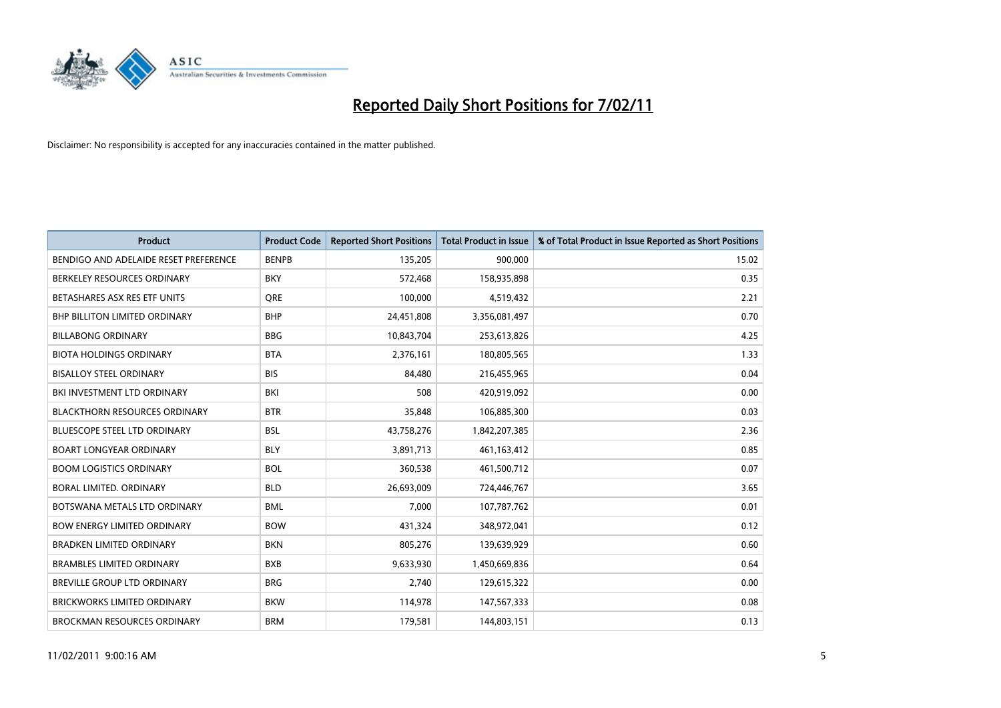

| Product                               | <b>Product Code</b> | <b>Reported Short Positions</b> | <b>Total Product in Issue</b> | % of Total Product in Issue Reported as Short Positions |
|---------------------------------------|---------------------|---------------------------------|-------------------------------|---------------------------------------------------------|
| BENDIGO AND ADELAIDE RESET PREFERENCE | <b>BENPB</b>        | 135,205                         | 900,000                       | 15.02                                                   |
| BERKELEY RESOURCES ORDINARY           | <b>BKY</b>          | 572,468                         | 158,935,898                   | 0.35                                                    |
| BETASHARES ASX RES ETF UNITS          | <b>ORE</b>          | 100,000                         | 4,519,432                     | 2.21                                                    |
| BHP BILLITON LIMITED ORDINARY         | <b>BHP</b>          | 24,451,808                      | 3,356,081,497                 | 0.70                                                    |
| <b>BILLABONG ORDINARY</b>             | <b>BBG</b>          | 10,843,704                      | 253,613,826                   | 4.25                                                    |
| <b>BIOTA HOLDINGS ORDINARY</b>        | <b>BTA</b>          | 2,376,161                       | 180,805,565                   | 1.33                                                    |
| <b>BISALLOY STEEL ORDINARY</b>        | <b>BIS</b>          | 84,480                          | 216,455,965                   | 0.04                                                    |
| BKI INVESTMENT LTD ORDINARY           | BKI                 | 508                             | 420,919,092                   | 0.00                                                    |
| <b>BLACKTHORN RESOURCES ORDINARY</b>  | <b>BTR</b>          | 35,848                          | 106,885,300                   | 0.03                                                    |
| <b>BLUESCOPE STEEL LTD ORDINARY</b>   | <b>BSL</b>          | 43,758,276                      | 1,842,207,385                 | 2.36                                                    |
| <b>BOART LONGYEAR ORDINARY</b>        | <b>BLY</b>          | 3,891,713                       | 461,163,412                   | 0.85                                                    |
| <b>BOOM LOGISTICS ORDINARY</b>        | <b>BOL</b>          | 360,538                         | 461,500,712                   | 0.07                                                    |
| BORAL LIMITED, ORDINARY               | <b>BLD</b>          | 26,693,009                      | 724,446,767                   | 3.65                                                    |
| BOTSWANA METALS LTD ORDINARY          | <b>BML</b>          | 7,000                           | 107,787,762                   | 0.01                                                    |
| <b>BOW ENERGY LIMITED ORDINARY</b>    | <b>BOW</b>          | 431,324                         | 348,972,041                   | 0.12                                                    |
| BRADKEN LIMITED ORDINARY              | <b>BKN</b>          | 805,276                         | 139,639,929                   | 0.60                                                    |
| <b>BRAMBLES LIMITED ORDINARY</b>      | <b>BXB</b>          | 9,633,930                       | 1,450,669,836                 | 0.64                                                    |
| BREVILLE GROUP LTD ORDINARY           | <b>BRG</b>          | 2,740                           | 129,615,322                   | 0.00                                                    |
| <b>BRICKWORKS LIMITED ORDINARY</b>    | <b>BKW</b>          | 114,978                         | 147,567,333                   | 0.08                                                    |
| <b>BROCKMAN RESOURCES ORDINARY</b>    | <b>BRM</b>          | 179,581                         | 144,803,151                   | 0.13                                                    |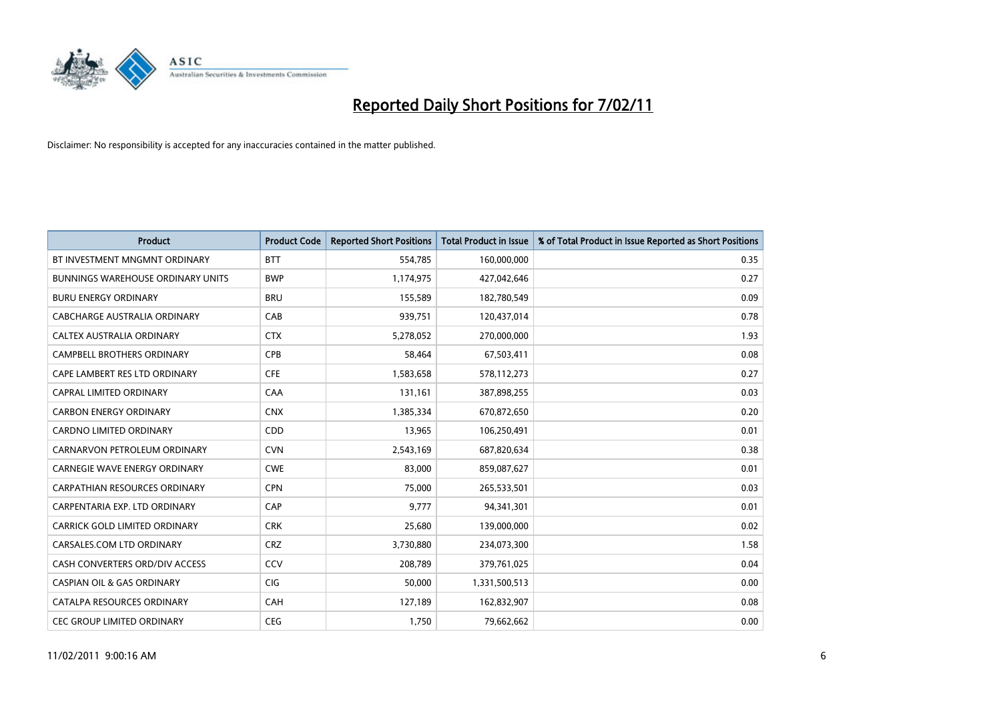

| Product                                  | <b>Product Code</b> | <b>Reported Short Positions</b> | <b>Total Product in Issue</b> | % of Total Product in Issue Reported as Short Positions |
|------------------------------------------|---------------------|---------------------------------|-------------------------------|---------------------------------------------------------|
| BT INVESTMENT MNGMNT ORDINARY            | <b>BTT</b>          | 554,785                         | 160,000,000                   | 0.35                                                    |
| <b>BUNNINGS WAREHOUSE ORDINARY UNITS</b> | <b>BWP</b>          | 1,174,975                       | 427,042,646                   | 0.27                                                    |
| <b>BURU ENERGY ORDINARY</b>              | <b>BRU</b>          | 155,589                         | 182,780,549                   | 0.09                                                    |
| CABCHARGE AUSTRALIA ORDINARY             | CAB                 | 939,751                         | 120,437,014                   | 0.78                                                    |
| CALTEX AUSTRALIA ORDINARY                | <b>CTX</b>          | 5,278,052                       | 270,000,000                   | 1.93                                                    |
| <b>CAMPBELL BROTHERS ORDINARY</b>        | CPB                 | 58,464                          | 67,503,411                    | 0.08                                                    |
| CAPE LAMBERT RES LTD ORDINARY            | <b>CFE</b>          | 1,583,658                       | 578,112,273                   | 0.27                                                    |
| CAPRAL LIMITED ORDINARY                  | CAA                 | 131,161                         | 387,898,255                   | 0.03                                                    |
| <b>CARBON ENERGY ORDINARY</b>            | <b>CNX</b>          | 1,385,334                       | 670,872,650                   | 0.20                                                    |
| <b>CARDNO LIMITED ORDINARY</b>           | CDD                 | 13,965                          | 106,250,491                   | 0.01                                                    |
| CARNARVON PETROLEUM ORDINARY             | <b>CVN</b>          | 2,543,169                       | 687,820,634                   | 0.38                                                    |
| <b>CARNEGIE WAVE ENERGY ORDINARY</b>     | <b>CWE</b>          | 83,000                          | 859,087,627                   | 0.01                                                    |
| <b>CARPATHIAN RESOURCES ORDINARY</b>     | <b>CPN</b>          | 75,000                          | 265,533,501                   | 0.03                                                    |
| CARPENTARIA EXP. LTD ORDINARY            | CAP                 | 9.777                           | 94,341,301                    | 0.01                                                    |
| <b>CARRICK GOLD LIMITED ORDINARY</b>     | <b>CRK</b>          | 25,680                          | 139,000,000                   | 0.02                                                    |
| CARSALES.COM LTD ORDINARY                | <b>CRZ</b>          | 3,730,880                       | 234,073,300                   | 1.58                                                    |
| CASH CONVERTERS ORD/DIV ACCESS           | CCV                 | 208,789                         | 379,761,025                   | 0.04                                                    |
| <b>CASPIAN OIL &amp; GAS ORDINARY</b>    | <b>CIG</b>          | 50,000                          | 1,331,500,513                 | 0.00                                                    |
| CATALPA RESOURCES ORDINARY               | CAH                 | 127,189                         | 162,832,907                   | 0.08                                                    |
| <b>CEC GROUP LIMITED ORDINARY</b>        | <b>CEG</b>          | 1,750                           | 79,662,662                    | 0.00                                                    |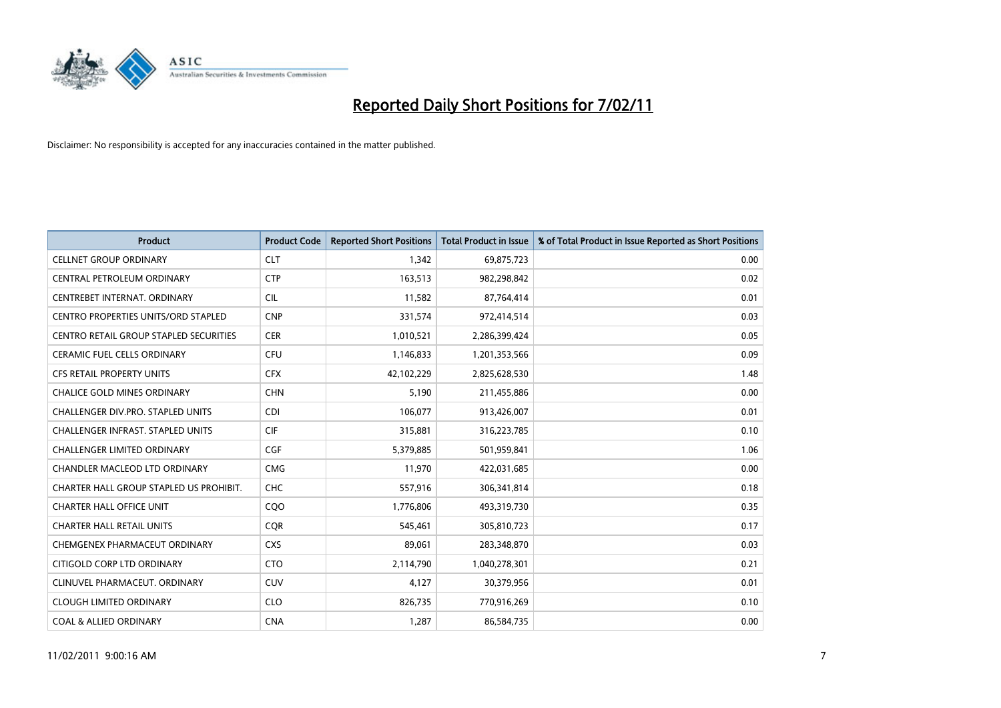

| <b>Product</b>                           | <b>Product Code</b> | <b>Reported Short Positions</b> | Total Product in Issue | % of Total Product in Issue Reported as Short Positions |
|------------------------------------------|---------------------|---------------------------------|------------------------|---------------------------------------------------------|
| <b>CELLNET GROUP ORDINARY</b>            | <b>CLT</b>          | 1,342                           | 69,875,723             | 0.00                                                    |
| CENTRAL PETROLEUM ORDINARY               | <b>CTP</b>          | 163,513                         | 982,298,842            | 0.02                                                    |
| CENTREBET INTERNAT, ORDINARY             | <b>CIL</b>          | 11,582                          | 87,764,414             | 0.01                                                    |
| CENTRO PROPERTIES UNITS/ORD STAPLED      | <b>CNP</b>          | 331,574                         | 972,414,514            | 0.03                                                    |
| CENTRO RETAIL GROUP STAPLED SECURITIES   | <b>CER</b>          | 1,010,521                       | 2,286,399,424          | 0.05                                                    |
| <b>CERAMIC FUEL CELLS ORDINARY</b>       | <b>CFU</b>          | 1,146,833                       | 1,201,353,566          | 0.09                                                    |
| <b>CFS RETAIL PROPERTY UNITS</b>         | <b>CFX</b>          | 42,102,229                      | 2,825,628,530          | 1.48                                                    |
| <b>CHALICE GOLD MINES ORDINARY</b>       | <b>CHN</b>          | 5,190                           | 211,455,886            | 0.00                                                    |
| CHALLENGER DIV.PRO. STAPLED UNITS        | <b>CDI</b>          | 106,077                         | 913,426,007            | 0.01                                                    |
| <b>CHALLENGER INFRAST, STAPLED UNITS</b> | <b>CIF</b>          | 315,881                         | 316,223,785            | 0.10                                                    |
| <b>CHALLENGER LIMITED ORDINARY</b>       | <b>CGF</b>          | 5,379,885                       | 501,959,841            | 1.06                                                    |
| CHANDLER MACLEOD LTD ORDINARY            | <b>CMG</b>          | 11,970                          | 422,031,685            | 0.00                                                    |
| CHARTER HALL GROUP STAPLED US PROHIBIT.  | <b>CHC</b>          | 557,916                         | 306,341,814            | 0.18                                                    |
| <b>CHARTER HALL OFFICE UNIT</b>          | COO                 | 1,776,806                       | 493,319,730            | 0.35                                                    |
| <b>CHARTER HALL RETAIL UNITS</b>         | <b>COR</b>          | 545,461                         | 305,810,723            | 0.17                                                    |
| CHEMGENEX PHARMACEUT ORDINARY            | <b>CXS</b>          | 89,061                          | 283,348,870            | 0.03                                                    |
| CITIGOLD CORP LTD ORDINARY               | <b>CTO</b>          | 2,114,790                       | 1,040,278,301          | 0.21                                                    |
| CLINUVEL PHARMACEUT. ORDINARY            | <b>CUV</b>          | 4,127                           | 30,379,956             | 0.01                                                    |
| <b>CLOUGH LIMITED ORDINARY</b>           | <b>CLO</b>          | 826,735                         | 770,916,269            | 0.10                                                    |
| <b>COAL &amp; ALLIED ORDINARY</b>        | <b>CNA</b>          | 1.287                           | 86,584,735             | 0.00                                                    |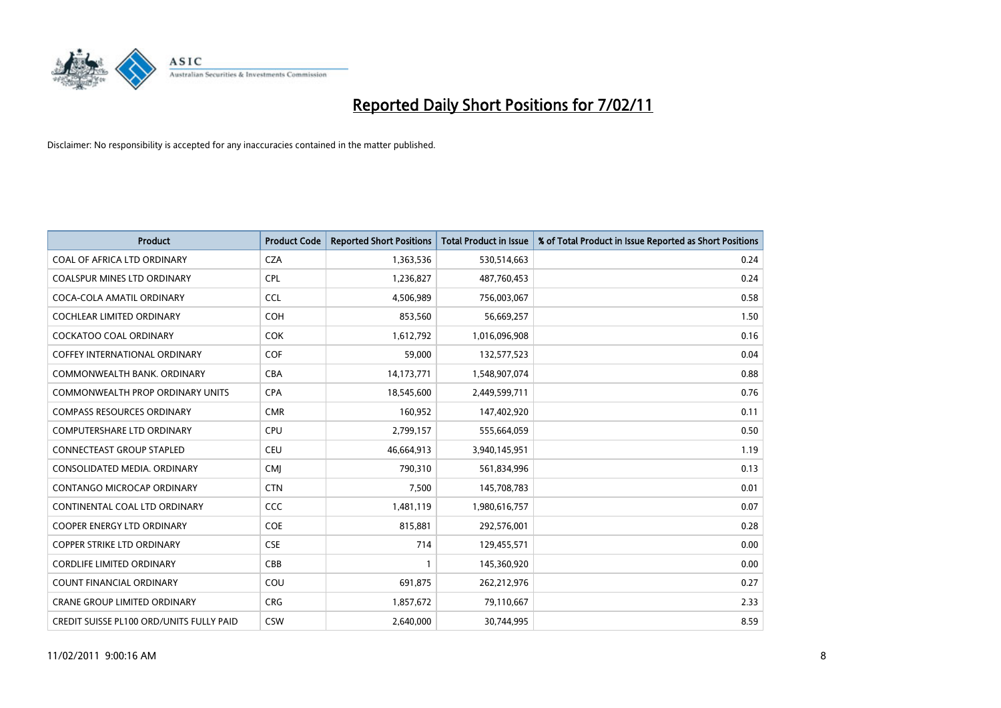

| <b>Product</b>                                  | <b>Product Code</b> | <b>Reported Short Positions</b> | Total Product in Issue | % of Total Product in Issue Reported as Short Positions |
|-------------------------------------------------|---------------------|---------------------------------|------------------------|---------------------------------------------------------|
| COAL OF AFRICA LTD ORDINARY                     | <b>CZA</b>          | 1,363,536                       | 530,514,663            | 0.24                                                    |
| <b>COALSPUR MINES LTD ORDINARY</b>              | <b>CPL</b>          | 1,236,827                       | 487,760,453            | 0.24                                                    |
| COCA-COLA AMATIL ORDINARY                       | <b>CCL</b>          | 4,506,989                       | 756,003,067            | 0.58                                                    |
| COCHLEAR LIMITED ORDINARY                       | <b>COH</b>          | 853,560                         | 56,669,257             | 1.50                                                    |
| <b>COCKATOO COAL ORDINARY</b>                   | COK                 | 1,612,792                       | 1,016,096,908          | 0.16                                                    |
| COFFEY INTERNATIONAL ORDINARY                   | <b>COF</b>          | 59,000                          | 132,577,523            | 0.04                                                    |
| COMMONWEALTH BANK, ORDINARY                     | <b>CBA</b>          | 14, 173, 771                    | 1,548,907,074          | 0.88                                                    |
| <b>COMMONWEALTH PROP ORDINARY UNITS</b>         | <b>CPA</b>          | 18,545,600                      | 2,449,599,711          | 0.76                                                    |
| <b>COMPASS RESOURCES ORDINARY</b>               | <b>CMR</b>          | 160,952                         | 147,402,920            | 0.11                                                    |
| <b>COMPUTERSHARE LTD ORDINARY</b>               | <b>CPU</b>          | 2,799,157                       | 555,664,059            | 0.50                                                    |
| <b>CONNECTEAST GROUP STAPLED</b>                | <b>CEU</b>          | 46,664,913                      | 3,940,145,951          | 1.19                                                    |
| CONSOLIDATED MEDIA, ORDINARY                    | <b>CMJ</b>          | 790,310                         | 561,834,996            | 0.13                                                    |
| CONTANGO MICROCAP ORDINARY                      | <b>CTN</b>          | 7,500                           | 145,708,783            | 0.01                                                    |
| CONTINENTAL COAL LTD ORDINARY                   | <b>CCC</b>          | 1,481,119                       | 1,980,616,757          | 0.07                                                    |
| <b>COOPER ENERGY LTD ORDINARY</b>               | <b>COE</b>          | 815,881                         | 292,576,001            | 0.28                                                    |
| <b>COPPER STRIKE LTD ORDINARY</b>               | <b>CSE</b>          | 714                             | 129,455,571            | 0.00                                                    |
| <b>CORDLIFE LIMITED ORDINARY</b>                | CBB                 |                                 | 145,360,920            | 0.00                                                    |
| COUNT FINANCIAL ORDINARY                        | COU                 | 691,875                         | 262,212,976            | 0.27                                                    |
| <b>CRANE GROUP LIMITED ORDINARY</b>             | <b>CRG</b>          | 1,857,672                       | 79,110,667             | 2.33                                                    |
| <b>CREDIT SUISSE PL100 ORD/UNITS FULLY PAID</b> | <b>CSW</b>          | 2.640.000                       | 30,744,995             | 8.59                                                    |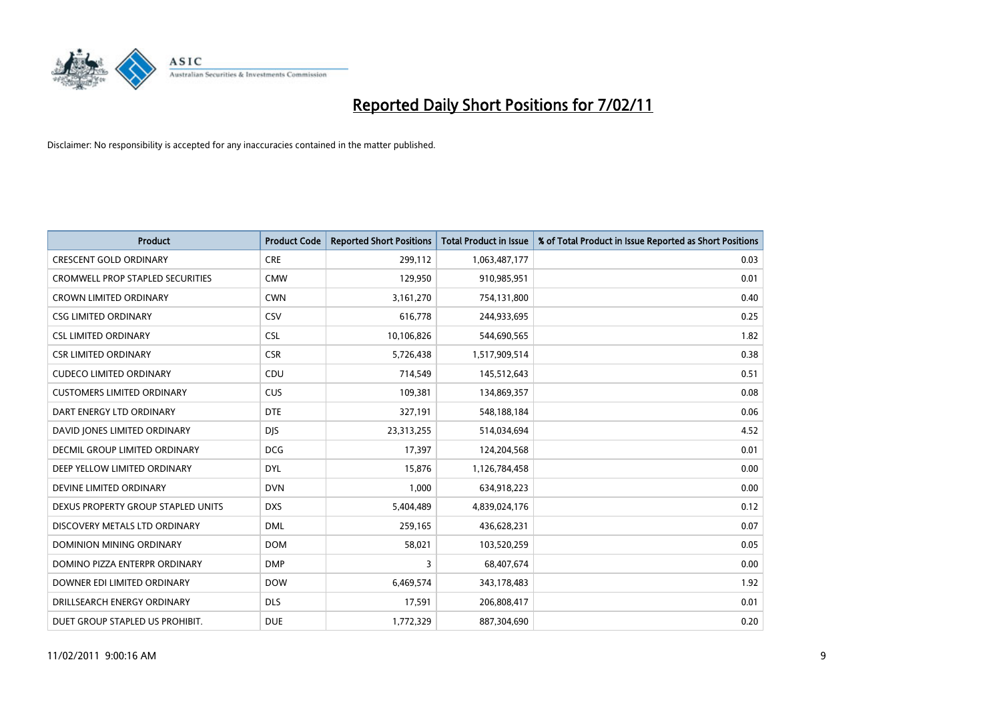

| <b>Product</b>                          | <b>Product Code</b> | <b>Reported Short Positions</b> | Total Product in Issue | % of Total Product in Issue Reported as Short Positions |
|-----------------------------------------|---------------------|---------------------------------|------------------------|---------------------------------------------------------|
| <b>CRESCENT GOLD ORDINARY</b>           | <b>CRE</b>          | 299,112                         | 1,063,487,177          | 0.03                                                    |
| <b>CROMWELL PROP STAPLED SECURITIES</b> | <b>CMW</b>          | 129,950                         | 910,985,951            | 0.01                                                    |
| <b>CROWN LIMITED ORDINARY</b>           | <b>CWN</b>          | 3,161,270                       | 754,131,800            | 0.40                                                    |
| <b>CSG LIMITED ORDINARY</b>             | CSV                 | 616,778                         | 244,933,695            | 0.25                                                    |
| <b>CSL LIMITED ORDINARY</b>             | <b>CSL</b>          | 10,106,826                      | 544,690,565            | 1.82                                                    |
| <b>CSR LIMITED ORDINARY</b>             | <b>CSR</b>          | 5,726,438                       | 1,517,909,514          | 0.38                                                    |
| <b>CUDECO LIMITED ORDINARY</b>          | CDU                 | 714,549                         | 145,512,643            | 0.51                                                    |
| <b>CUSTOMERS LIMITED ORDINARY</b>       | <b>CUS</b>          | 109,381                         | 134,869,357            | 0.08                                                    |
| DART ENERGY LTD ORDINARY                | <b>DTE</b>          | 327,191                         | 548,188,184            | 0.06                                                    |
| DAVID JONES LIMITED ORDINARY            | <b>DJS</b>          | 23,313,255                      | 514,034,694            | 4.52                                                    |
| <b>DECMIL GROUP LIMITED ORDINARY</b>    | <b>DCG</b>          | 17,397                          | 124,204,568            | 0.01                                                    |
| DEEP YELLOW LIMITED ORDINARY            | <b>DYL</b>          | 15,876                          | 1,126,784,458          | 0.00                                                    |
| DEVINE LIMITED ORDINARY                 | <b>DVN</b>          | 1,000                           | 634,918,223            | 0.00                                                    |
| DEXUS PROPERTY GROUP STAPLED UNITS      | <b>DXS</b>          | 5,404,489                       | 4,839,024,176          | 0.12                                                    |
| DISCOVERY METALS LTD ORDINARY           | <b>DML</b>          | 259,165                         | 436,628,231            | 0.07                                                    |
| DOMINION MINING ORDINARY                | <b>DOM</b>          | 58,021                          | 103,520,259            | 0.05                                                    |
| DOMINO PIZZA ENTERPR ORDINARY           | <b>DMP</b>          | 3                               | 68,407,674             | 0.00                                                    |
| DOWNER EDI LIMITED ORDINARY             | <b>DOW</b>          | 6,469,574                       | 343,178,483            | 1.92                                                    |
| DRILLSEARCH ENERGY ORDINARY             | <b>DLS</b>          | 17,591                          | 206,808,417            | 0.01                                                    |
| DUET GROUP STAPLED US PROHIBIT.         | <b>DUE</b>          | 1,772,329                       | 887,304,690            | 0.20                                                    |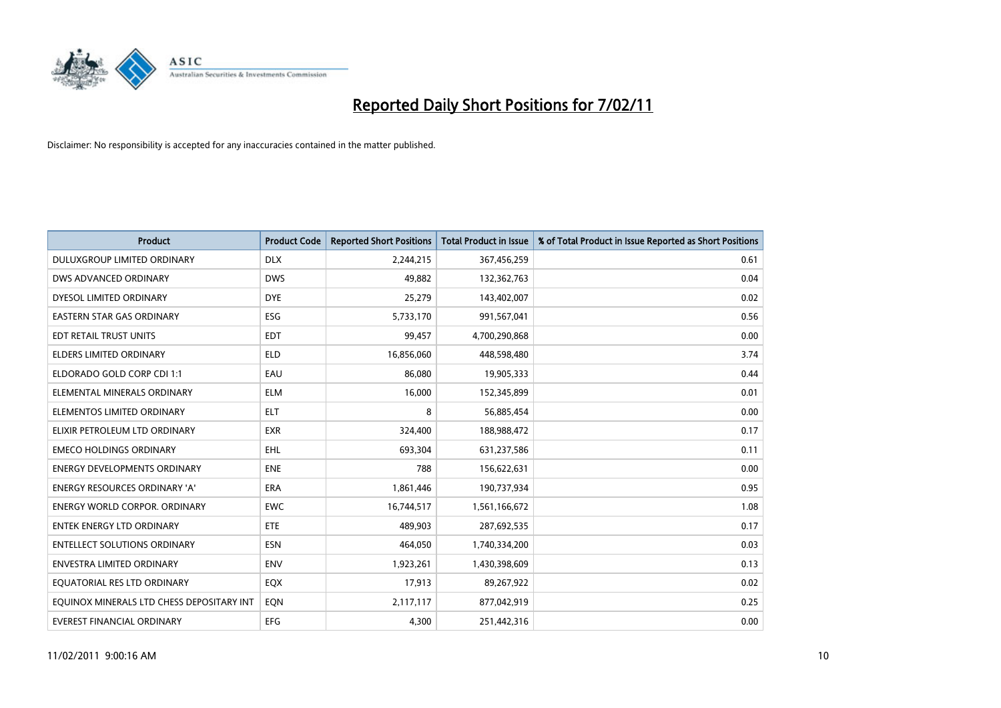

| <b>Product</b>                            | <b>Product Code</b> | <b>Reported Short Positions</b> | Total Product in Issue | % of Total Product in Issue Reported as Short Positions |
|-------------------------------------------|---------------------|---------------------------------|------------------------|---------------------------------------------------------|
| DULUXGROUP LIMITED ORDINARY               | <b>DLX</b>          | 2,244,215                       | 367,456,259            | 0.61                                                    |
| DWS ADVANCED ORDINARY                     | <b>DWS</b>          | 49.882                          | 132,362,763            | 0.04                                                    |
| DYESOL LIMITED ORDINARY                   | <b>DYE</b>          | 25,279                          | 143,402,007            | 0.02                                                    |
| EASTERN STAR GAS ORDINARY                 | ESG                 | 5,733,170                       | 991,567,041            | 0.56                                                    |
| EDT RETAIL TRUST UNITS                    | <b>EDT</b>          | 99.457                          | 4,700,290,868          | 0.00                                                    |
| <b>ELDERS LIMITED ORDINARY</b>            | <b>ELD</b>          | 16,856,060                      | 448,598,480            | 3.74                                                    |
| ELDORADO GOLD CORP CDI 1:1                | EAU                 | 86.080                          | 19,905,333             | 0.44                                                    |
| ELEMENTAL MINERALS ORDINARY               | <b>ELM</b>          | 16,000                          | 152,345,899            | 0.01                                                    |
| ELEMENTOS LIMITED ORDINARY                | <b>ELT</b>          | 8                               | 56,885,454             | 0.00                                                    |
| ELIXIR PETROLEUM LTD ORDINARY             | <b>EXR</b>          | 324,400                         | 188,988,472            | 0.17                                                    |
| <b>EMECO HOLDINGS ORDINARY</b>            | <b>EHL</b>          | 693,304                         | 631,237,586            | 0.11                                                    |
| <b>ENERGY DEVELOPMENTS ORDINARY</b>       | <b>ENE</b>          | 788                             | 156,622,631            | 0.00                                                    |
| <b>ENERGY RESOURCES ORDINARY 'A'</b>      | <b>ERA</b>          | 1,861,446                       | 190,737,934            | 0.95                                                    |
| <b>ENERGY WORLD CORPOR, ORDINARY</b>      | <b>EWC</b>          | 16,744,517                      | 1,561,166,672          | 1.08                                                    |
| <b>ENTEK ENERGY LTD ORDINARY</b>          | ETE                 | 489,903                         | 287,692,535            | 0.17                                                    |
| <b>ENTELLECT SOLUTIONS ORDINARY</b>       | <b>ESN</b>          | 464,050                         | 1,740,334,200          | 0.03                                                    |
| <b>ENVESTRA LIMITED ORDINARY</b>          | <b>ENV</b>          | 1,923,261                       | 1,430,398,609          | 0.13                                                    |
| EQUATORIAL RES LTD ORDINARY               | EQX                 | 17,913                          | 89,267,922             | 0.02                                                    |
| EOUINOX MINERALS LTD CHESS DEPOSITARY INT | EON                 | 2,117,117                       | 877,042,919            | 0.25                                                    |
| EVEREST FINANCIAL ORDINARY                | <b>EFG</b>          | 4.300                           | 251,442,316            | 0.00                                                    |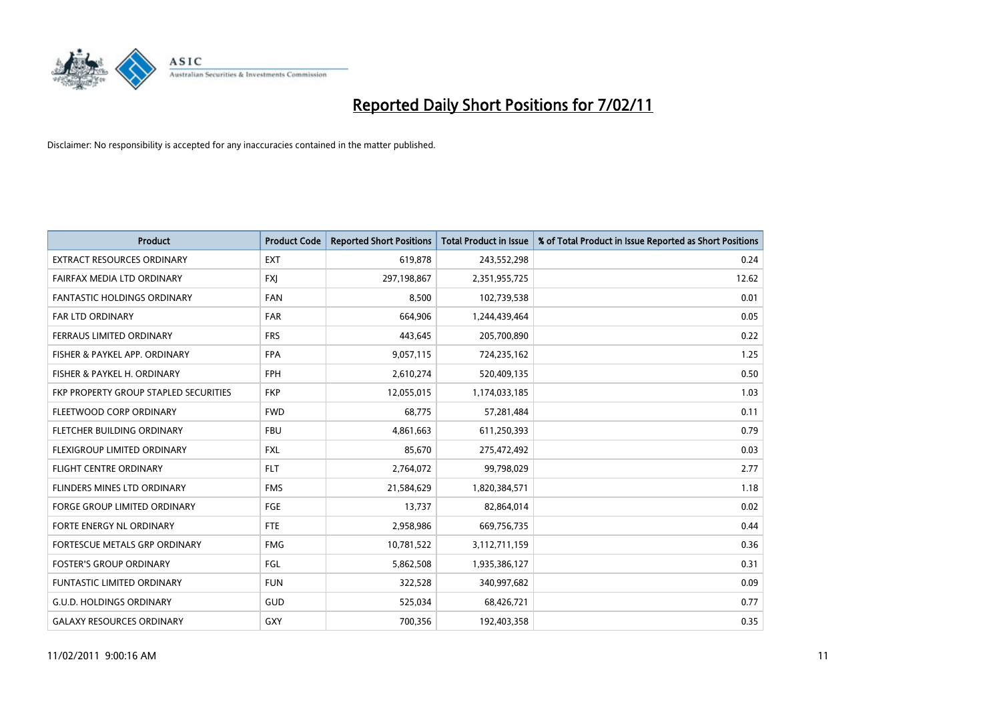

| <b>Product</b>                        | <b>Product Code</b> | <b>Reported Short Positions</b> | Total Product in Issue | % of Total Product in Issue Reported as Short Positions |
|---------------------------------------|---------------------|---------------------------------|------------------------|---------------------------------------------------------|
| <b>EXTRACT RESOURCES ORDINARY</b>     | <b>EXT</b>          | 619,878                         | 243,552,298            | 0.24                                                    |
| FAIRFAX MEDIA LTD ORDINARY            | <b>FXI</b>          | 297,198,867                     | 2,351,955,725          | 12.62                                                   |
| <b>FANTASTIC HOLDINGS ORDINARY</b>    | <b>FAN</b>          | 8,500                           | 102,739,538            | 0.01                                                    |
| <b>FAR LTD ORDINARY</b>               | <b>FAR</b>          | 664,906                         | 1,244,439,464          | 0.05                                                    |
| FERRAUS LIMITED ORDINARY              | <b>FRS</b>          | 443,645                         | 205,700,890            | 0.22                                                    |
| FISHER & PAYKEL APP. ORDINARY         | <b>FPA</b>          | 9,057,115                       | 724,235,162            | 1.25                                                    |
| FISHER & PAYKEL H. ORDINARY           | <b>FPH</b>          | 2,610,274                       | 520,409,135            | 0.50                                                    |
| FKP PROPERTY GROUP STAPLED SECURITIES | <b>FKP</b>          | 12,055,015                      | 1,174,033,185          | 1.03                                                    |
| FLEETWOOD CORP ORDINARY               | <b>FWD</b>          | 68,775                          | 57,281,484             | 0.11                                                    |
| FLETCHER BUILDING ORDINARY            | <b>FBU</b>          | 4,861,663                       | 611,250,393            | 0.79                                                    |
| FLEXIGROUP LIMITED ORDINARY           | <b>FXL</b>          | 85,670                          | 275,472,492            | 0.03                                                    |
| <b>FLIGHT CENTRE ORDINARY</b>         | <b>FLT</b>          | 2,764,072                       | 99,798,029             | 2.77                                                    |
| FLINDERS MINES LTD ORDINARY           | <b>FMS</b>          | 21,584,629                      | 1,820,384,571          | 1.18                                                    |
| <b>FORGE GROUP LIMITED ORDINARY</b>   | FGE                 | 13,737                          | 82,864,014             | 0.02                                                    |
| FORTE ENERGY NL ORDINARY              | FTE                 | 2,958,986                       | 669,756,735            | 0.44                                                    |
| FORTESCUE METALS GRP ORDINARY         | <b>FMG</b>          | 10,781,522                      | 3,112,711,159          | 0.36                                                    |
| <b>FOSTER'S GROUP ORDINARY</b>        | FGL                 | 5,862,508                       | 1,935,386,127          | 0.31                                                    |
| <b>FUNTASTIC LIMITED ORDINARY</b>     | <b>FUN</b>          | 322,528                         | 340,997,682            | 0.09                                                    |
| <b>G.U.D. HOLDINGS ORDINARY</b>       | GUD                 | 525,034                         | 68,426,721             | 0.77                                                    |
| <b>GALAXY RESOURCES ORDINARY</b>      | GXY                 | 700,356                         | 192,403,358            | 0.35                                                    |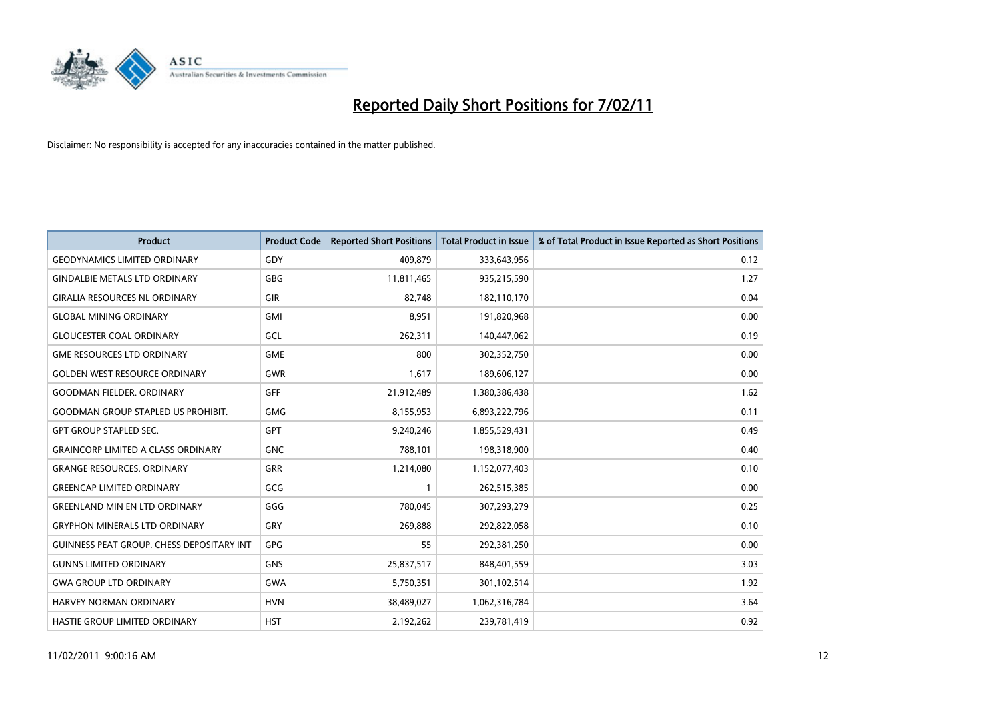

| <b>Product</b>                            | <b>Product Code</b> | <b>Reported Short Positions</b> | Total Product in Issue | % of Total Product in Issue Reported as Short Positions |
|-------------------------------------------|---------------------|---------------------------------|------------------------|---------------------------------------------------------|
| <b>GEODYNAMICS LIMITED ORDINARY</b>       | GDY                 | 409,879                         | 333,643,956            | 0.12                                                    |
| <b>GINDALBIE METALS LTD ORDINARY</b>      | <b>GBG</b>          | 11,811,465                      | 935,215,590            | 1.27                                                    |
| <b>GIRALIA RESOURCES NL ORDINARY</b>      | GIR                 | 82.748                          | 182,110,170            | 0.04                                                    |
| <b>GLOBAL MINING ORDINARY</b>             | <b>GMI</b>          | 8,951                           | 191,820,968            | 0.00                                                    |
| <b>GLOUCESTER COAL ORDINARY</b>           | <b>GCL</b>          | 262,311                         | 140,447,062            | 0.19                                                    |
| <b>GME RESOURCES LTD ORDINARY</b>         | <b>GME</b>          | 800                             | 302,352,750            | 0.00                                                    |
| <b>GOLDEN WEST RESOURCE ORDINARY</b>      | <b>GWR</b>          | 1.617                           | 189,606,127            | 0.00                                                    |
| <b>GOODMAN FIELDER, ORDINARY</b>          | GFF                 | 21,912,489                      | 1,380,386,438          | 1.62                                                    |
| <b>GOODMAN GROUP STAPLED US PROHIBIT.</b> | <b>GMG</b>          | 8,155,953                       | 6,893,222,796          | 0.11                                                    |
| <b>GPT GROUP STAPLED SEC.</b>             | <b>GPT</b>          | 9,240,246                       | 1,855,529,431          | 0.49                                                    |
| <b>GRAINCORP LIMITED A CLASS ORDINARY</b> | <b>GNC</b>          | 788,101                         | 198,318,900            | 0.40                                                    |
| <b>GRANGE RESOURCES, ORDINARY</b>         | <b>GRR</b>          | 1,214,080                       | 1,152,077,403          | 0.10                                                    |
| <b>GREENCAP LIMITED ORDINARY</b>          | GCG                 |                                 | 262,515,385            | 0.00                                                    |
| <b>GREENLAND MIN EN LTD ORDINARY</b>      | GGG                 | 780,045                         | 307,293,279            | 0.25                                                    |
| <b>GRYPHON MINERALS LTD ORDINARY</b>      | GRY                 | 269,888                         | 292,822,058            | 0.10                                                    |
| GUINNESS PEAT GROUP. CHESS DEPOSITARY INT | <b>GPG</b>          | 55                              | 292,381,250            | 0.00                                                    |
| <b>GUNNS LIMITED ORDINARY</b>             | <b>GNS</b>          | 25,837,517                      | 848,401,559            | 3.03                                                    |
| <b>GWA GROUP LTD ORDINARY</b>             | <b>GWA</b>          | 5,750,351                       | 301,102,514            | 1.92                                                    |
| HARVEY NORMAN ORDINARY                    | <b>HVN</b>          | 38,489,027                      | 1,062,316,784          | 3.64                                                    |
| <b>HASTIE GROUP LIMITED ORDINARY</b>      | <b>HST</b>          | 2.192.262                       | 239,781,419            | 0.92                                                    |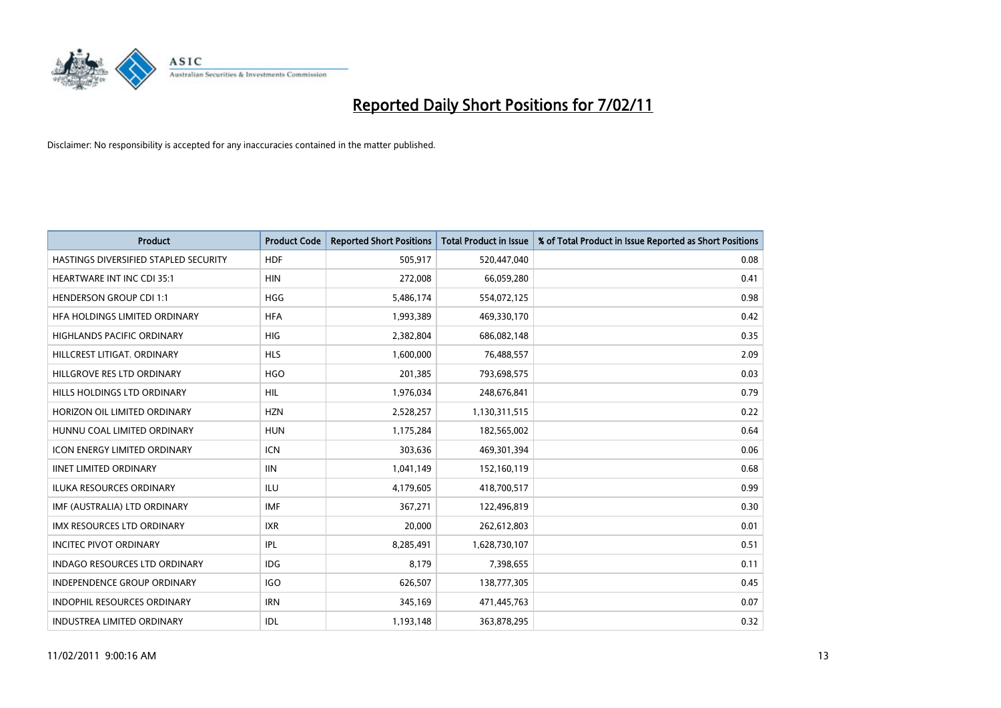

| <b>Product</b>                        | <b>Product Code</b> | <b>Reported Short Positions</b> | Total Product in Issue | % of Total Product in Issue Reported as Short Positions |
|---------------------------------------|---------------------|---------------------------------|------------------------|---------------------------------------------------------|
| HASTINGS DIVERSIFIED STAPLED SECURITY | <b>HDF</b>          | 505,917                         | 520,447,040            | 0.08                                                    |
| <b>HEARTWARE INT INC CDI 35:1</b>     | <b>HIN</b>          | 272,008                         | 66,059,280             | 0.41                                                    |
| <b>HENDERSON GROUP CDI 1:1</b>        | <b>HGG</b>          | 5,486,174                       | 554,072,125            | 0.98                                                    |
| HFA HOLDINGS LIMITED ORDINARY         | <b>HFA</b>          | 1,993,389                       | 469,330,170            | 0.42                                                    |
| <b>HIGHLANDS PACIFIC ORDINARY</b>     | <b>HIG</b>          | 2,382,804                       | 686,082,148            | 0.35                                                    |
| HILLCREST LITIGAT, ORDINARY           | <b>HLS</b>          | 1,600,000                       | 76,488,557             | 2.09                                                    |
| HILLGROVE RES LTD ORDINARY            | <b>HGO</b>          | 201,385                         | 793,698,575            | 0.03                                                    |
| HILLS HOLDINGS LTD ORDINARY           | <b>HIL</b>          | 1,976,034                       | 248,676,841            | 0.79                                                    |
| HORIZON OIL LIMITED ORDINARY          | <b>HZN</b>          | 2,528,257                       | 1,130,311,515          | 0.22                                                    |
| HUNNU COAL LIMITED ORDINARY           | <b>HUN</b>          | 1,175,284                       | 182,565,002            | 0.64                                                    |
| <b>ICON ENERGY LIMITED ORDINARY</b>   | <b>ICN</b>          | 303,636                         | 469,301,394            | 0.06                                                    |
| <b>IINET LIMITED ORDINARY</b>         | <b>IIN</b>          | 1,041,149                       | 152,160,119            | 0.68                                                    |
| <b>ILUKA RESOURCES ORDINARY</b>       | ILU                 | 4,179,605                       | 418,700,517            | 0.99                                                    |
| IMF (AUSTRALIA) LTD ORDINARY          | <b>IMF</b>          | 367.271                         | 122,496,819            | 0.30                                                    |
| <b>IMX RESOURCES LTD ORDINARY</b>     | <b>IXR</b>          | 20,000                          | 262,612,803            | 0.01                                                    |
| <b>INCITEC PIVOT ORDINARY</b>         | <b>IPL</b>          | 8,285,491                       | 1,628,730,107          | 0.51                                                    |
| <b>INDAGO RESOURCES LTD ORDINARY</b>  | IDG                 | 8,179                           | 7,398,655              | 0.11                                                    |
| INDEPENDENCE GROUP ORDINARY           | <b>IGO</b>          | 626,507                         | 138,777,305            | 0.45                                                    |
| <b>INDOPHIL RESOURCES ORDINARY</b>    | <b>IRN</b>          | 345,169                         | 471,445,763            | 0.07                                                    |
| <b>INDUSTREA LIMITED ORDINARY</b>     | IDL                 | 1,193,148                       | 363,878,295            | 0.32                                                    |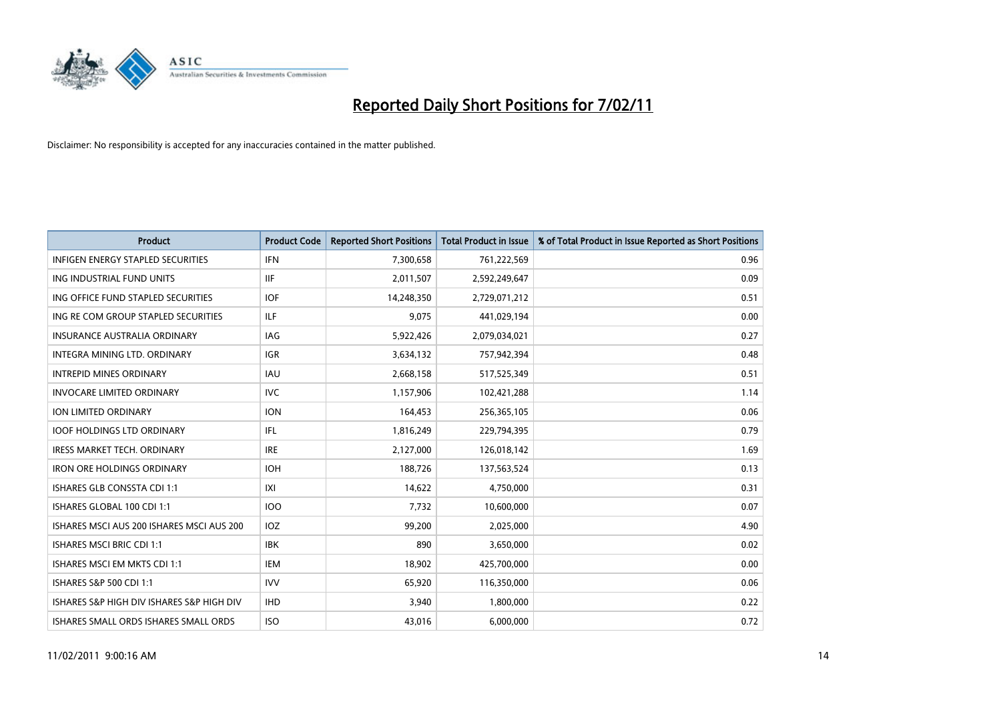

| <b>Product</b>                            | <b>Product Code</b> | <b>Reported Short Positions</b> | <b>Total Product in Issue</b> | % of Total Product in Issue Reported as Short Positions |
|-------------------------------------------|---------------------|---------------------------------|-------------------------------|---------------------------------------------------------|
| <b>INFIGEN ENERGY STAPLED SECURITIES</b>  | <b>IFN</b>          | 7,300,658                       | 761,222,569                   | 0.96                                                    |
| ING INDUSTRIAL FUND UNITS                 | <b>IIF</b>          | 2,011,507                       | 2,592,249,647                 | 0.09                                                    |
| ING OFFICE FUND STAPLED SECURITIES        | <b>IOF</b>          | 14,248,350                      | 2,729,071,212                 | 0.51                                                    |
| ING RE COM GROUP STAPLED SECURITIES       | <b>ILF</b>          | 9,075                           | 441,029,194                   | 0.00                                                    |
| <b>INSURANCE AUSTRALIA ORDINARY</b>       | IAG                 | 5,922,426                       | 2,079,034,021                 | 0.27                                                    |
| INTEGRA MINING LTD, ORDINARY              | <b>IGR</b>          | 3,634,132                       | 757,942,394                   | 0.48                                                    |
| <b>INTREPID MINES ORDINARY</b>            | <b>IAU</b>          | 2,668,158                       | 517,525,349                   | 0.51                                                    |
| <b>INVOCARE LIMITED ORDINARY</b>          | <b>IVC</b>          | 1,157,906                       | 102,421,288                   | 1.14                                                    |
| ION LIMITED ORDINARY                      | <b>ION</b>          | 164,453                         | 256,365,105                   | 0.06                                                    |
| <b>IOOF HOLDINGS LTD ORDINARY</b>         | IFL.                | 1,816,249                       | 229,794,395                   | 0.79                                                    |
| <b>IRESS MARKET TECH. ORDINARY</b>        | <b>IRE</b>          | 2,127,000                       | 126,018,142                   | 1.69                                                    |
| <b>IRON ORE HOLDINGS ORDINARY</b>         | <b>IOH</b>          | 188,726                         | 137,563,524                   | 0.13                                                    |
| ISHARES GLB CONSSTA CDI 1:1               | X                   | 14,622                          | 4,750,000                     | 0.31                                                    |
| ISHARES GLOBAL 100 CDI 1:1                | <b>IOO</b>          | 7,732                           | 10,600,000                    | 0.07                                                    |
| ISHARES MSCI AUS 200 ISHARES MSCI AUS 200 | <b>IOZ</b>          | 99,200                          | 2,025,000                     | 4.90                                                    |
| <b>ISHARES MSCI BRIC CDI 1:1</b>          | <b>IBK</b>          | 890                             | 3,650,000                     | 0.02                                                    |
| ISHARES MSCI EM MKTS CDI 1:1              | <b>IEM</b>          | 18,902                          | 425,700,000                   | 0.00                                                    |
| ISHARES S&P 500 CDI 1:1                   | <b>IVV</b>          | 65,920                          | 116,350,000                   | 0.06                                                    |
| ISHARES S&P HIGH DIV ISHARES S&P HIGH DIV | <b>IHD</b>          | 3,940                           | 1,800,000                     | 0.22                                                    |
| ISHARES SMALL ORDS ISHARES SMALL ORDS     | <b>ISO</b>          | 43,016                          | 6,000,000                     | 0.72                                                    |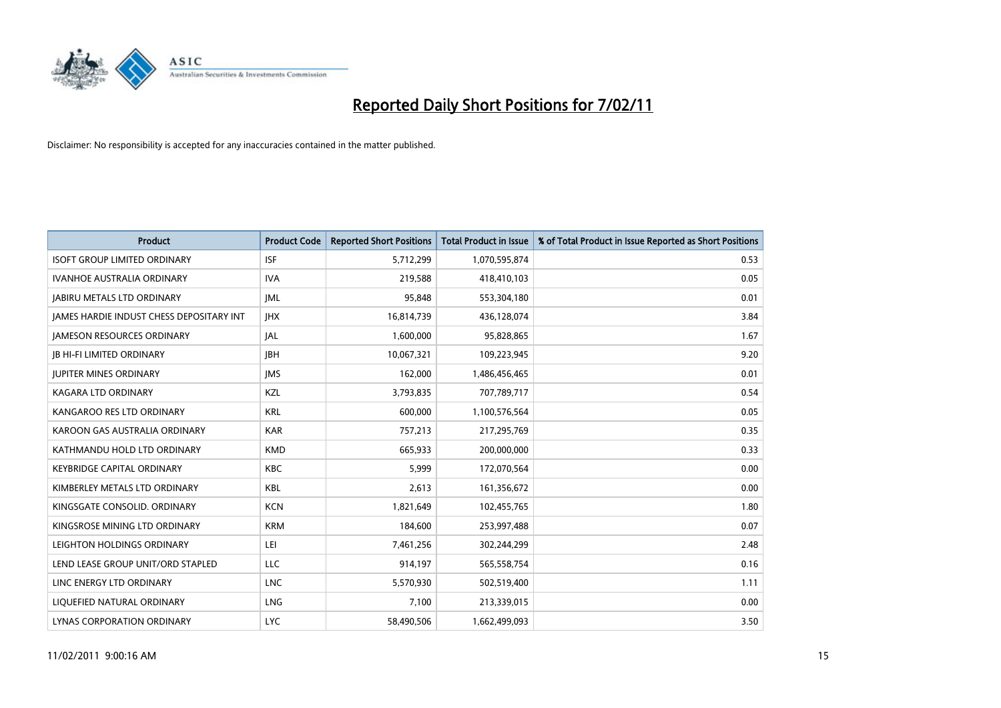

| Product                                  | <b>Product Code</b> | <b>Reported Short Positions</b> | <b>Total Product in Issue</b> | % of Total Product in Issue Reported as Short Positions |
|------------------------------------------|---------------------|---------------------------------|-------------------------------|---------------------------------------------------------|
| <b>ISOFT GROUP LIMITED ORDINARY</b>      | <b>ISF</b>          | 5,712,299                       | 1,070,595,874                 | 0.53                                                    |
| <b>IVANHOE AUSTRALIA ORDINARY</b>        | <b>IVA</b>          | 219,588                         | 418,410,103                   | 0.05                                                    |
| <b>JABIRU METALS LTD ORDINARY</b>        | <b>JML</b>          | 95,848                          | 553,304,180                   | 0.01                                                    |
| JAMES HARDIE INDUST CHESS DEPOSITARY INT | <b>IHX</b>          | 16,814,739                      | 436,128,074                   | 3.84                                                    |
| <b>IAMESON RESOURCES ORDINARY</b>        | <b>JAL</b>          | 1,600,000                       | 95,828,865                    | 1.67                                                    |
| <b>JB HI-FI LIMITED ORDINARY</b>         | <b>IBH</b>          | 10,067,321                      | 109,223,945                   | 9.20                                                    |
| <b>JUPITER MINES ORDINARY</b>            | <b>IMS</b>          | 162,000                         | 1,486,456,465                 | 0.01                                                    |
| <b>KAGARA LTD ORDINARY</b>               | KZL                 | 3,793,835                       | 707,789,717                   | 0.54                                                    |
| KANGAROO RES LTD ORDINARY                | <b>KRL</b>          | 600,000                         | 1,100,576,564                 | 0.05                                                    |
| KAROON GAS AUSTRALIA ORDINARY            | <b>KAR</b>          | 757,213                         | 217,295,769                   | 0.35                                                    |
| KATHMANDU HOLD LTD ORDINARY              | <b>KMD</b>          | 665,933                         | 200,000,000                   | 0.33                                                    |
| <b>KEYBRIDGE CAPITAL ORDINARY</b>        | <b>KBC</b>          | 5,999                           | 172,070,564                   | 0.00                                                    |
| KIMBERLEY METALS LTD ORDINARY            | KBL                 | 2,613                           | 161,356,672                   | 0.00                                                    |
| KINGSGATE CONSOLID. ORDINARY             | <b>KCN</b>          | 1,821,649                       | 102,455,765                   | 1.80                                                    |
| KINGSROSE MINING LTD ORDINARY            | <b>KRM</b>          | 184,600                         | 253,997,488                   | 0.07                                                    |
| LEIGHTON HOLDINGS ORDINARY               | LEI                 | 7,461,256                       | 302,244,299                   | 2.48                                                    |
| LEND LEASE GROUP UNIT/ORD STAPLED        | LLC                 | 914,197                         | 565,558,754                   | 0.16                                                    |
| LINC ENERGY LTD ORDINARY                 | <b>LNC</b>          | 5,570,930                       | 502,519,400                   | 1.11                                                    |
| LIOUEFIED NATURAL ORDINARY               | <b>LNG</b>          | 7,100                           | 213,339,015                   | 0.00                                                    |
| LYNAS CORPORATION ORDINARY               | <b>LYC</b>          | 58,490,506                      | 1,662,499,093                 | 3.50                                                    |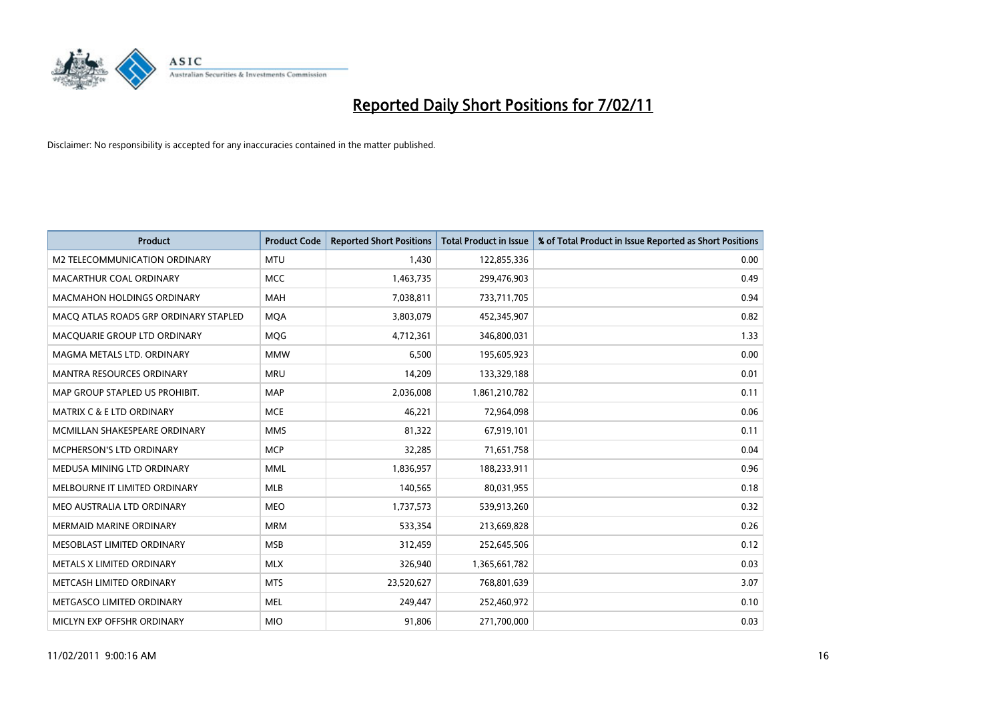

| <b>Product</b>                        | <b>Product Code</b> | <b>Reported Short Positions</b> | Total Product in Issue | % of Total Product in Issue Reported as Short Positions |
|---------------------------------------|---------------------|---------------------------------|------------------------|---------------------------------------------------------|
| M2 TELECOMMUNICATION ORDINARY         | <b>MTU</b>          | 1,430                           | 122,855,336            | 0.00                                                    |
| MACARTHUR COAL ORDINARY               | <b>MCC</b>          | 1,463,735                       | 299,476,903            | 0.49                                                    |
| <b>MACMAHON HOLDINGS ORDINARY</b>     | <b>MAH</b>          | 7,038,811                       | 733,711,705            | 0.94                                                    |
| MACO ATLAS ROADS GRP ORDINARY STAPLED | <b>MQA</b>          | 3,803,079                       | 452,345,907            | 0.82                                                    |
| MACQUARIE GROUP LTD ORDINARY          | MQG                 | 4,712,361                       | 346,800,031            | 1.33                                                    |
| MAGMA METALS LTD. ORDINARY            | <b>MMW</b>          | 6,500                           | 195,605,923            | 0.00                                                    |
| <b>MANTRA RESOURCES ORDINARY</b>      | <b>MRU</b>          | 14,209                          | 133,329,188            | 0.01                                                    |
| MAP GROUP STAPLED US PROHIBIT.        | <b>MAP</b>          | 2,036,008                       | 1,861,210,782          | 0.11                                                    |
| MATRIX C & E LTD ORDINARY             | <b>MCE</b>          | 46,221                          | 72,964,098             | 0.06                                                    |
| MCMILLAN SHAKESPEARE ORDINARY         | <b>MMS</b>          | 81,322                          | 67,919,101             | 0.11                                                    |
| MCPHERSON'S LTD ORDINARY              | <b>MCP</b>          | 32,285                          | 71,651,758             | 0.04                                                    |
| MEDUSA MINING LTD ORDINARY            | <b>MML</b>          | 1,836,957                       | 188,233,911            | 0.96                                                    |
| MELBOURNE IT LIMITED ORDINARY         | <b>MLB</b>          | 140,565                         | 80,031,955             | 0.18                                                    |
| MEO AUSTRALIA LTD ORDINARY            | <b>MEO</b>          | 1,737,573                       | 539,913,260            | 0.32                                                    |
| MERMAID MARINE ORDINARY               | <b>MRM</b>          | 533,354                         | 213,669,828            | 0.26                                                    |
| MESOBLAST LIMITED ORDINARY            | <b>MSB</b>          | 312,459                         | 252,645,506            | 0.12                                                    |
| METALS X LIMITED ORDINARY             | <b>MLX</b>          | 326,940                         | 1,365,661,782          | 0.03                                                    |
| METCASH LIMITED ORDINARY              | <b>MTS</b>          | 23,520,627                      | 768,801,639            | 3.07                                                    |
| METGASCO LIMITED ORDINARY             | <b>MEL</b>          | 249,447                         | 252,460,972            | 0.10                                                    |
| MICLYN EXP OFFSHR ORDINARY            | <b>MIO</b>          | 91,806                          | 271,700,000            | 0.03                                                    |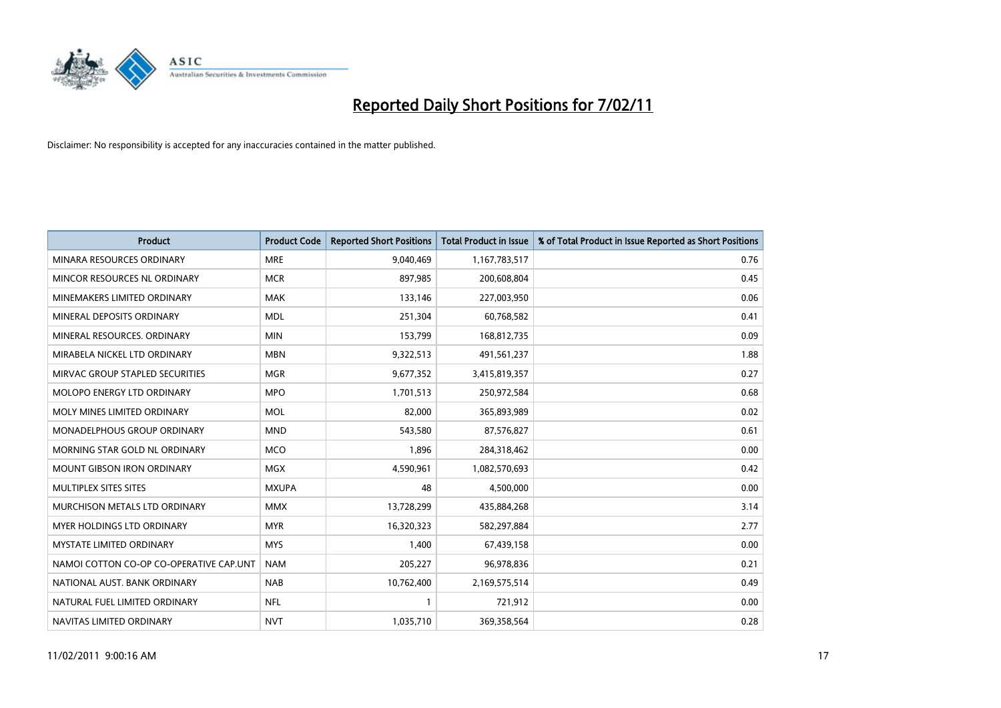

| Product                                 | <b>Product Code</b> | <b>Reported Short Positions</b> | <b>Total Product in Issue</b> | % of Total Product in Issue Reported as Short Positions |
|-----------------------------------------|---------------------|---------------------------------|-------------------------------|---------------------------------------------------------|
| MINARA RESOURCES ORDINARY               | <b>MRE</b>          | 9,040,469                       | 1,167,783,517                 | 0.76                                                    |
| MINCOR RESOURCES NL ORDINARY            | <b>MCR</b>          | 897,985                         | 200,608,804                   | 0.45                                                    |
| MINEMAKERS LIMITED ORDINARY             | <b>MAK</b>          | 133,146                         | 227,003,950                   | 0.06                                                    |
| MINERAL DEPOSITS ORDINARY               | <b>MDL</b>          | 251,304                         | 60,768,582                    | 0.41                                                    |
| MINERAL RESOURCES, ORDINARY             | <b>MIN</b>          | 153,799                         | 168,812,735                   | 0.09                                                    |
| MIRABELA NICKEL LTD ORDINARY            | <b>MBN</b>          | 9,322,513                       | 491,561,237                   | 1.88                                                    |
| MIRVAC GROUP STAPLED SECURITIES         | <b>MGR</b>          | 9,677,352                       | 3,415,819,357                 | 0.27                                                    |
| <b>MOLOPO ENERGY LTD ORDINARY</b>       | <b>MPO</b>          | 1,701,513                       | 250,972,584                   | 0.68                                                    |
| MOLY MINES LIMITED ORDINARY             | <b>MOL</b>          | 82,000                          | 365,893,989                   | 0.02                                                    |
| MONADELPHOUS GROUP ORDINARY             | <b>MND</b>          | 543,580                         | 87,576,827                    | 0.61                                                    |
| MORNING STAR GOLD NL ORDINARY           | <b>MCO</b>          | 1,896                           | 284,318,462                   | 0.00                                                    |
| <b>MOUNT GIBSON IRON ORDINARY</b>       | <b>MGX</b>          | 4,590,961                       | 1,082,570,693                 | 0.42                                                    |
| MULTIPLEX SITES SITES                   | <b>MXUPA</b>        | 48                              | 4,500,000                     | 0.00                                                    |
| MURCHISON METALS LTD ORDINARY           | <b>MMX</b>          | 13,728,299                      | 435,884,268                   | 3.14                                                    |
| MYER HOLDINGS LTD ORDINARY              | <b>MYR</b>          | 16,320,323                      | 582,297,884                   | 2.77                                                    |
| <b>MYSTATE LIMITED ORDINARY</b>         | <b>MYS</b>          | 1.400                           | 67,439,158                    | 0.00                                                    |
| NAMOI COTTON CO-OP CO-OPERATIVE CAP.UNT | <b>NAM</b>          | 205,227                         | 96,978,836                    | 0.21                                                    |
| NATIONAL AUST. BANK ORDINARY            | <b>NAB</b>          | 10,762,400                      | 2,169,575,514                 | 0.49                                                    |
| NATURAL FUEL LIMITED ORDINARY           | <b>NFL</b>          |                                 | 721,912                       | 0.00                                                    |
| NAVITAS LIMITED ORDINARY                | <b>NVT</b>          | 1,035,710                       | 369,358,564                   | 0.28                                                    |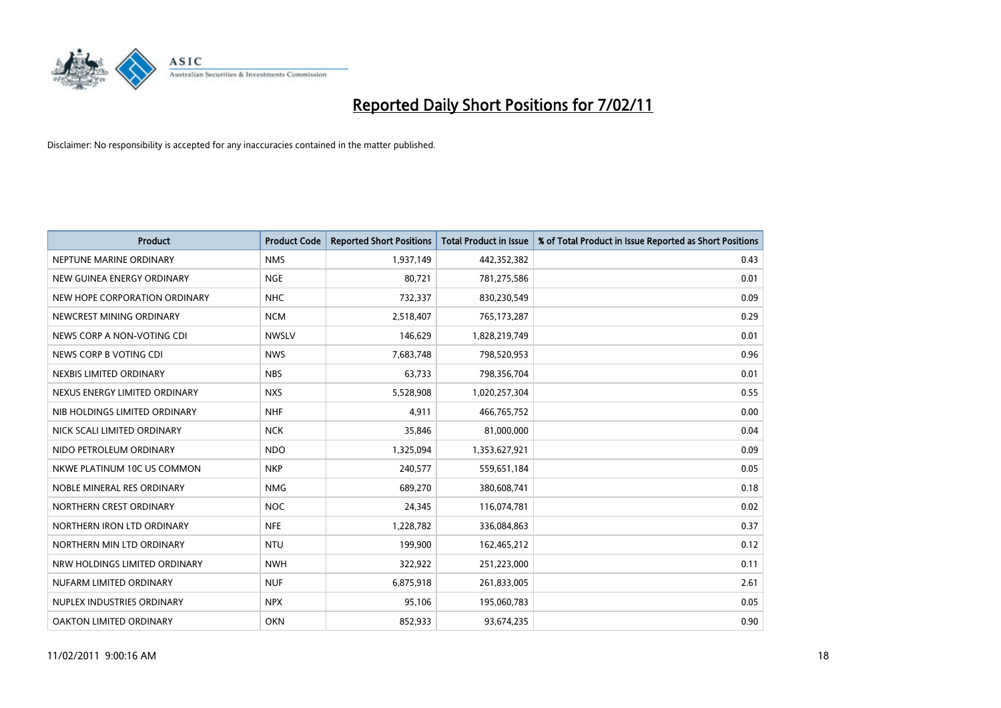

| Product                       | <b>Product Code</b> | <b>Reported Short Positions</b> | <b>Total Product in Issue</b> | % of Total Product in Issue Reported as Short Positions |
|-------------------------------|---------------------|---------------------------------|-------------------------------|---------------------------------------------------------|
| NEPTUNE MARINE ORDINARY       | <b>NMS</b>          | 1,937,149                       | 442,352,382                   | 0.43                                                    |
| NEW GUINEA ENERGY ORDINARY    | <b>NGE</b>          | 80,721                          | 781,275,586                   | 0.01                                                    |
| NEW HOPE CORPORATION ORDINARY | <b>NHC</b>          | 732,337                         | 830,230,549                   | 0.09                                                    |
| NEWCREST MINING ORDINARY      | <b>NCM</b>          | 2,518,407                       | 765,173,287                   | 0.29                                                    |
| NEWS CORP A NON-VOTING CDI    | <b>NWSLV</b>        | 146.629                         | 1,828,219,749                 | 0.01                                                    |
| NEWS CORP B VOTING CDI        | <b>NWS</b>          | 7,683,748                       | 798,520,953                   | 0.96                                                    |
| NEXBIS LIMITED ORDINARY       | <b>NBS</b>          | 63,733                          | 798,356,704                   | 0.01                                                    |
| NEXUS ENERGY LIMITED ORDINARY | <b>NXS</b>          | 5,528,908                       | 1,020,257,304                 | 0.55                                                    |
| NIB HOLDINGS LIMITED ORDINARY | <b>NHF</b>          | 4,911                           | 466,765,752                   | 0.00                                                    |
| NICK SCALI LIMITED ORDINARY   | <b>NCK</b>          | 35,846                          | 81,000,000                    | 0.04                                                    |
| NIDO PETROLEUM ORDINARY       | <b>NDO</b>          | 1,325,094                       | 1,353,627,921                 | 0.09                                                    |
| NKWE PLATINUM 10C US COMMON   | <b>NKP</b>          | 240,577                         | 559,651,184                   | 0.05                                                    |
| NOBLE MINERAL RES ORDINARY    | <b>NMG</b>          | 689,270                         | 380,608,741                   | 0.18                                                    |
| NORTHERN CREST ORDINARY       | <b>NOC</b>          | 24,345                          | 116,074,781                   | 0.02                                                    |
| NORTHERN IRON LTD ORDINARY    | <b>NFE</b>          | 1,228,782                       | 336,084,863                   | 0.37                                                    |
| NORTHERN MIN LTD ORDINARY     | <b>NTU</b>          | 199,900                         | 162,465,212                   | 0.12                                                    |
| NRW HOLDINGS LIMITED ORDINARY | <b>NWH</b>          | 322,922                         | 251,223,000                   | 0.11                                                    |
| NUFARM LIMITED ORDINARY       | <b>NUF</b>          | 6,875,918                       | 261,833,005                   | 2.61                                                    |
| NUPLEX INDUSTRIES ORDINARY    | <b>NPX</b>          | 95,106                          | 195,060,783                   | 0.05                                                    |
| OAKTON LIMITED ORDINARY       | <b>OKN</b>          | 852,933                         | 93,674,235                    | 0.90                                                    |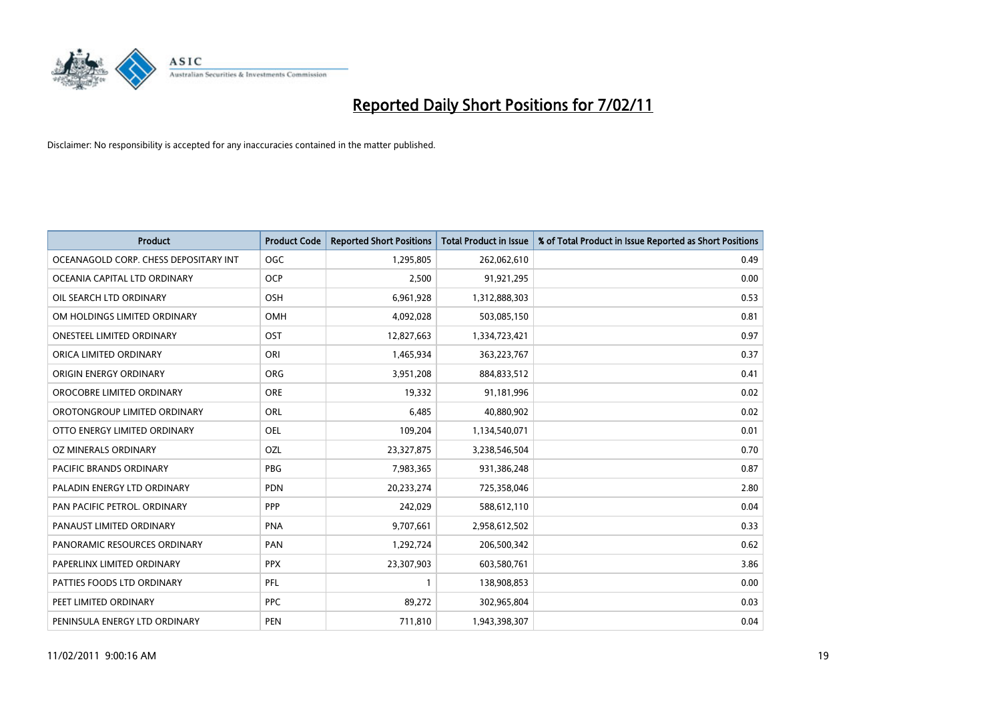

| <b>Product</b>                        | <b>Product Code</b> | <b>Reported Short Positions</b> | Total Product in Issue | % of Total Product in Issue Reported as Short Positions |
|---------------------------------------|---------------------|---------------------------------|------------------------|---------------------------------------------------------|
| OCEANAGOLD CORP. CHESS DEPOSITARY INT | <b>OGC</b>          | 1,295,805                       | 262,062,610            | 0.49                                                    |
| OCEANIA CAPITAL LTD ORDINARY          | <b>OCP</b>          | 2,500                           | 91,921,295             | 0.00                                                    |
| OIL SEARCH LTD ORDINARY               | <b>OSH</b>          | 6,961,928                       | 1,312,888,303          | 0.53                                                    |
| OM HOLDINGS LIMITED ORDINARY          | OMH                 | 4,092,028                       | 503,085,150            | 0.81                                                    |
| <b>ONESTEEL LIMITED ORDINARY</b>      | OST                 | 12,827,663                      | 1,334,723,421          | 0.97                                                    |
| ORICA LIMITED ORDINARY                | ORI                 | 1,465,934                       | 363,223,767            | 0.37                                                    |
| ORIGIN ENERGY ORDINARY                | <b>ORG</b>          | 3,951,208                       | 884,833,512            | 0.41                                                    |
| OROCOBRE LIMITED ORDINARY             | <b>ORE</b>          | 19,332                          | 91,181,996             | 0.02                                                    |
| OROTONGROUP LIMITED ORDINARY          | ORL                 | 6,485                           | 40,880,902             | 0.02                                                    |
| OTTO ENERGY LIMITED ORDINARY          | <b>OEL</b>          | 109,204                         | 1,134,540,071          | 0.01                                                    |
| OZ MINERALS ORDINARY                  | OZL                 | 23,327,875                      | 3,238,546,504          | 0.70                                                    |
| PACIFIC BRANDS ORDINARY               | <b>PBG</b>          | 7,983,365                       | 931,386,248            | 0.87                                                    |
| PALADIN ENERGY LTD ORDINARY           | <b>PDN</b>          | 20,233,274                      | 725,358,046            | 2.80                                                    |
| PAN PACIFIC PETROL. ORDINARY          | <b>PPP</b>          | 242,029                         | 588,612,110            | 0.04                                                    |
| PANAUST LIMITED ORDINARY              | <b>PNA</b>          | 9,707,661                       | 2,958,612,502          | 0.33                                                    |
| PANORAMIC RESOURCES ORDINARY          | PAN                 | 1,292,724                       | 206,500,342            | 0.62                                                    |
| PAPERLINX LIMITED ORDINARY            | <b>PPX</b>          | 23,307,903                      | 603,580,761            | 3.86                                                    |
| PATTIES FOODS LTD ORDINARY            | PFL                 |                                 | 138,908,853            | 0.00                                                    |
| PEET LIMITED ORDINARY                 | <b>PPC</b>          | 89,272                          | 302,965,804            | 0.03                                                    |
| PENINSULA ENERGY LTD ORDINARY         | PEN                 | 711,810                         | 1,943,398,307          | 0.04                                                    |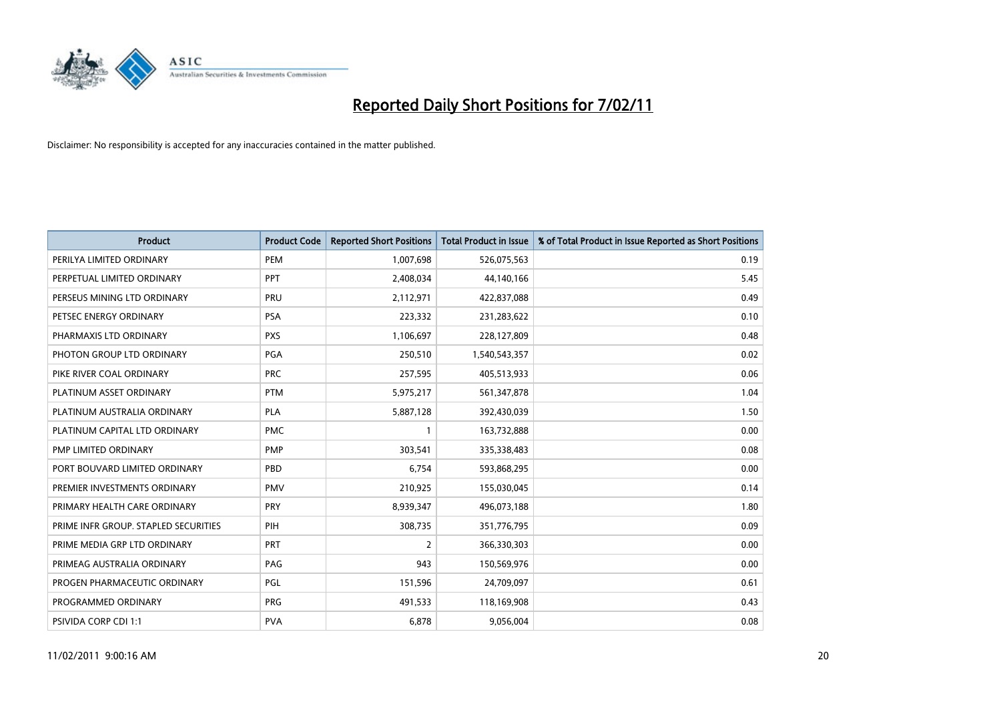

| Product                              | <b>Product Code</b> | <b>Reported Short Positions</b> | Total Product in Issue | % of Total Product in Issue Reported as Short Positions |
|--------------------------------------|---------------------|---------------------------------|------------------------|---------------------------------------------------------|
| PERILYA LIMITED ORDINARY             | PEM                 | 1,007,698                       | 526,075,563            | 0.19                                                    |
| PERPETUAL LIMITED ORDINARY           | <b>PPT</b>          | 2,408,034                       | 44,140,166             | 5.45                                                    |
| PERSEUS MINING LTD ORDINARY          | PRU                 | 2,112,971                       | 422,837,088            | 0.49                                                    |
| PETSEC ENERGY ORDINARY               | PSA                 | 223,332                         | 231,283,622            | 0.10                                                    |
| PHARMAXIS LTD ORDINARY               | <b>PXS</b>          | 1,106,697                       | 228,127,809            | 0.48                                                    |
| PHOTON GROUP LTD ORDINARY            | PGA                 | 250,510                         | 1,540,543,357          | 0.02                                                    |
| PIKE RIVER COAL ORDINARY             | <b>PRC</b>          | 257,595                         | 405,513,933            | 0.06                                                    |
| PLATINUM ASSET ORDINARY              | <b>PTM</b>          | 5,975,217                       | 561,347,878            | 1.04                                                    |
| PLATINUM AUSTRALIA ORDINARY          | <b>PLA</b>          | 5,887,128                       | 392,430,039            | 1.50                                                    |
| PLATINUM CAPITAL LTD ORDINARY        | <b>PMC</b>          |                                 | 163,732,888            | 0.00                                                    |
| PMP LIMITED ORDINARY                 | <b>PMP</b>          | 303,541                         | 335,338,483            | 0.08                                                    |
| PORT BOUVARD LIMITED ORDINARY        | PBD                 | 6,754                           | 593,868,295            | 0.00                                                    |
| PREMIER INVESTMENTS ORDINARY         | <b>PMV</b>          | 210,925                         | 155,030,045            | 0.14                                                    |
| PRIMARY HEALTH CARE ORDINARY         | PRY                 | 8,939,347                       | 496,073,188            | 1.80                                                    |
| PRIME INFR GROUP. STAPLED SECURITIES | PIH                 | 308,735                         | 351,776,795            | 0.09                                                    |
| PRIME MEDIA GRP LTD ORDINARY         | PRT                 | 2                               | 366,330,303            | 0.00                                                    |
| PRIMEAG AUSTRALIA ORDINARY           | PAG                 | 943                             | 150,569,976            | 0.00                                                    |
| PROGEN PHARMACEUTIC ORDINARY         | PGL                 | 151,596                         | 24,709,097             | 0.61                                                    |
| PROGRAMMED ORDINARY                  | <b>PRG</b>          | 491,533                         | 118,169,908            | 0.43                                                    |
| PSIVIDA CORP CDI 1:1                 | <b>PVA</b>          | 6,878                           | 9,056,004              | 0.08                                                    |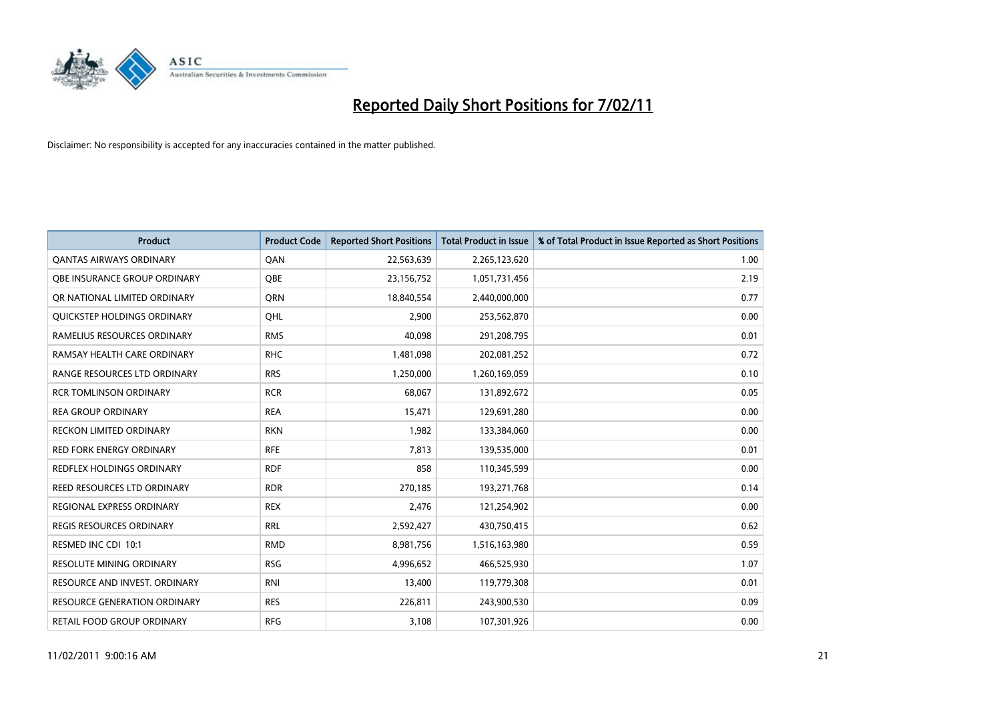

| Product                             | <b>Product Code</b> | <b>Reported Short Positions</b> | <b>Total Product in Issue</b> | % of Total Product in Issue Reported as Short Positions |
|-------------------------------------|---------------------|---------------------------------|-------------------------------|---------------------------------------------------------|
| <b>QANTAS AIRWAYS ORDINARY</b>      | QAN                 | 22,563,639                      | 2,265,123,620                 | 1.00                                                    |
| <b>QBE INSURANCE GROUP ORDINARY</b> | <b>OBE</b>          | 23,156,752                      | 1,051,731,456                 | 2.19                                                    |
| OR NATIONAL LIMITED ORDINARY        | <b>ORN</b>          | 18,840,554                      | 2,440,000,000                 | 0.77                                                    |
| QUICKSTEP HOLDINGS ORDINARY         | OHL                 | 2,900                           | 253,562,870                   | 0.00                                                    |
| RAMELIUS RESOURCES ORDINARY         | <b>RMS</b>          | 40,098                          | 291,208,795                   | 0.01                                                    |
| RAMSAY HEALTH CARE ORDINARY         | <b>RHC</b>          | 1,481,098                       | 202,081,252                   | 0.72                                                    |
| RANGE RESOURCES LTD ORDINARY        | <b>RRS</b>          | 1,250,000                       | 1,260,169,059                 | 0.10                                                    |
| <b>RCR TOMLINSON ORDINARY</b>       | <b>RCR</b>          | 68,067                          | 131,892,672                   | 0.05                                                    |
| <b>REA GROUP ORDINARY</b>           | <b>REA</b>          | 15,471                          | 129,691,280                   | 0.00                                                    |
| <b>RECKON LIMITED ORDINARY</b>      | <b>RKN</b>          | 1,982                           | 133,384,060                   | 0.00                                                    |
| <b>RED FORK ENERGY ORDINARY</b>     | <b>RFE</b>          | 7,813                           | 139,535,000                   | 0.01                                                    |
| REDFLEX HOLDINGS ORDINARY           | <b>RDF</b>          | 858                             | 110,345,599                   | 0.00                                                    |
| REED RESOURCES LTD ORDINARY         | <b>RDR</b>          | 270,185                         | 193,271,768                   | 0.14                                                    |
| <b>REGIONAL EXPRESS ORDINARY</b>    | <b>REX</b>          | 2,476                           | 121,254,902                   | 0.00                                                    |
| <b>REGIS RESOURCES ORDINARY</b>     | <b>RRL</b>          | 2,592,427                       | 430,750,415                   | 0.62                                                    |
| RESMED INC CDI 10:1                 | <b>RMD</b>          | 8,981,756                       | 1,516,163,980                 | 0.59                                                    |
| <b>RESOLUTE MINING ORDINARY</b>     | <b>RSG</b>          | 4,996,652                       | 466,525,930                   | 1.07                                                    |
| RESOURCE AND INVEST. ORDINARY       | <b>RNI</b>          | 13,400                          | 119,779,308                   | 0.01                                                    |
| RESOURCE GENERATION ORDINARY        | <b>RES</b>          | 226,811                         | 243,900,530                   | 0.09                                                    |
| RETAIL FOOD GROUP ORDINARY          | <b>RFG</b>          | 3,108                           | 107,301,926                   | 0.00                                                    |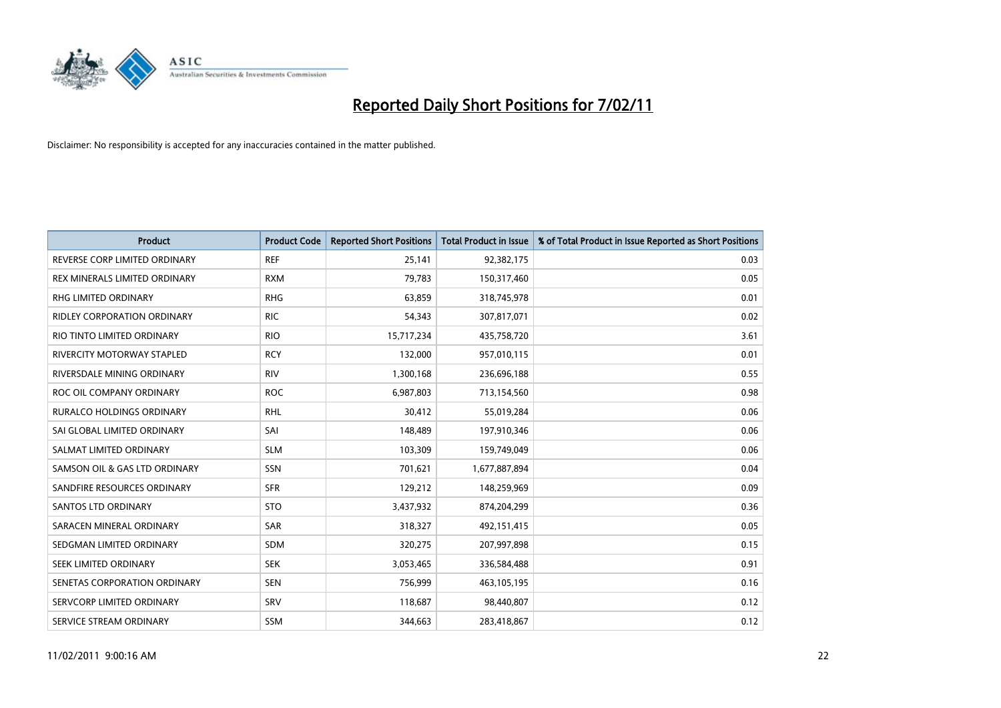

| <b>Product</b>                     | <b>Product Code</b> | <b>Reported Short Positions</b> | Total Product in Issue | % of Total Product in Issue Reported as Short Positions |
|------------------------------------|---------------------|---------------------------------|------------------------|---------------------------------------------------------|
| REVERSE CORP LIMITED ORDINARY      | <b>REF</b>          | 25,141                          | 92,382,175             | 0.03                                                    |
| REX MINERALS LIMITED ORDINARY      | <b>RXM</b>          | 79,783                          | 150,317,460            | 0.05                                                    |
| RHG LIMITED ORDINARY               | <b>RHG</b>          | 63,859                          | 318,745,978            | 0.01                                                    |
| <b>RIDLEY CORPORATION ORDINARY</b> | <b>RIC</b>          | 54,343                          | 307,817,071            | 0.02                                                    |
| RIO TINTO LIMITED ORDINARY         | <b>RIO</b>          | 15,717,234                      | 435,758,720            | 3.61                                                    |
| <b>RIVERCITY MOTORWAY STAPLED</b>  | <b>RCY</b>          | 132,000                         | 957,010,115            | 0.01                                                    |
| RIVERSDALE MINING ORDINARY         | <b>RIV</b>          | 1,300,168                       | 236,696,188            | 0.55                                                    |
| ROC OIL COMPANY ORDINARY           | <b>ROC</b>          | 6,987,803                       | 713,154,560            | 0.98                                                    |
| RURALCO HOLDINGS ORDINARY          | <b>RHL</b>          | 30,412                          | 55,019,284             | 0.06                                                    |
| SAI GLOBAL LIMITED ORDINARY        | SAI                 | 148,489                         | 197,910,346            | 0.06                                                    |
| SALMAT LIMITED ORDINARY            | <b>SLM</b>          | 103,309                         | 159,749,049            | 0.06                                                    |
| SAMSON OIL & GAS LTD ORDINARY      | <b>SSN</b>          | 701,621                         | 1,677,887,894          | 0.04                                                    |
| SANDFIRE RESOURCES ORDINARY        | <b>SFR</b>          | 129,212                         | 148,259,969            | 0.09                                                    |
| SANTOS LTD ORDINARY                | <b>STO</b>          | 3,437,932                       | 874,204,299            | 0.36                                                    |
| SARACEN MINERAL ORDINARY           | SAR                 | 318,327                         | 492,151,415            | 0.05                                                    |
| SEDGMAN LIMITED ORDINARY           | <b>SDM</b>          | 320,275                         | 207,997,898            | 0.15                                                    |
| SEEK LIMITED ORDINARY              | <b>SEK</b>          | 3,053,465                       | 336,584,488            | 0.91                                                    |
| SENETAS CORPORATION ORDINARY       | <b>SEN</b>          | 756,999                         | 463,105,195            | 0.16                                                    |
| SERVCORP LIMITED ORDINARY          | SRV                 | 118,687                         | 98,440,807             | 0.12                                                    |
| SERVICE STREAM ORDINARY            | <b>SSM</b>          | 344.663                         | 283,418,867            | 0.12                                                    |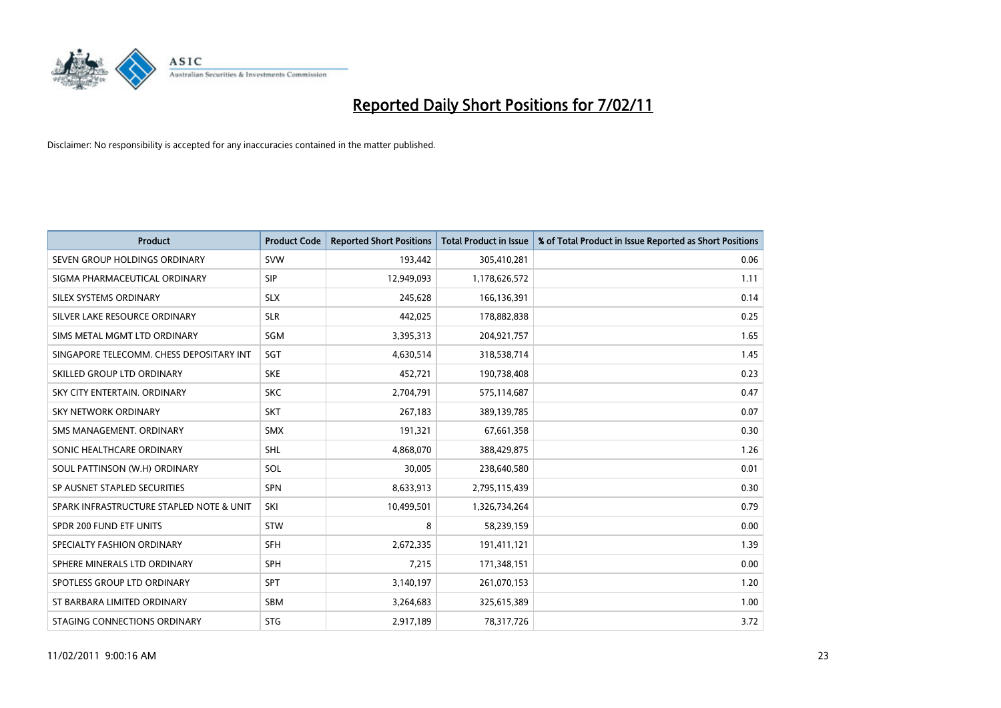

| <b>Product</b>                           | <b>Product Code</b> | <b>Reported Short Positions</b> | <b>Total Product in Issue</b> | % of Total Product in Issue Reported as Short Positions |
|------------------------------------------|---------------------|---------------------------------|-------------------------------|---------------------------------------------------------|
| SEVEN GROUP HOLDINGS ORDINARY            | <b>SVW</b>          | 193,442                         | 305,410,281                   | 0.06                                                    |
| SIGMA PHARMACEUTICAL ORDINARY            | <b>SIP</b>          | 12,949,093                      | 1,178,626,572                 | 1.11                                                    |
| SILEX SYSTEMS ORDINARY                   | <b>SLX</b>          | 245,628                         | 166,136,391                   | 0.14                                                    |
| SILVER LAKE RESOURCE ORDINARY            | <b>SLR</b>          | 442,025                         | 178,882,838                   | 0.25                                                    |
| SIMS METAL MGMT LTD ORDINARY             | SGM                 | 3,395,313                       | 204,921,757                   | 1.65                                                    |
| SINGAPORE TELECOMM. CHESS DEPOSITARY INT | SGT                 | 4,630,514                       | 318,538,714                   | 1.45                                                    |
| SKILLED GROUP LTD ORDINARY               | <b>SKE</b>          | 452,721                         | 190,738,408                   | 0.23                                                    |
| SKY CITY ENTERTAIN, ORDINARY             | <b>SKC</b>          | 2,704,791                       | 575,114,687                   | 0.47                                                    |
| SKY NETWORK ORDINARY                     | <b>SKT</b>          | 267,183                         | 389,139,785                   | 0.07                                                    |
| SMS MANAGEMENT, ORDINARY                 | <b>SMX</b>          | 191,321                         | 67,661,358                    | 0.30                                                    |
| SONIC HEALTHCARE ORDINARY                | <b>SHL</b>          | 4,868,070                       | 388,429,875                   | 1.26                                                    |
| SOUL PATTINSON (W.H) ORDINARY            | SOL                 | 30,005                          | 238,640,580                   | 0.01                                                    |
| SP AUSNET STAPLED SECURITIES             | <b>SPN</b>          | 8,633,913                       | 2,795,115,439                 | 0.30                                                    |
| SPARK INFRASTRUCTURE STAPLED NOTE & UNIT | SKI                 | 10,499,501                      | 1,326,734,264                 | 0.79                                                    |
| SPDR 200 FUND ETF UNITS                  | <b>STW</b>          | 8                               | 58,239,159                    | 0.00                                                    |
| SPECIALTY FASHION ORDINARY               | <b>SFH</b>          | 2,672,335                       | 191,411,121                   | 1.39                                                    |
| SPHERE MINERALS LTD ORDINARY             | SPH                 | 7,215                           | 171,348,151                   | 0.00                                                    |
| SPOTLESS GROUP LTD ORDINARY              | <b>SPT</b>          | 3,140,197                       | 261,070,153                   | 1.20                                                    |
| ST BARBARA LIMITED ORDINARY              | <b>SBM</b>          | 3,264,683                       | 325,615,389                   | 1.00                                                    |
| STAGING CONNECTIONS ORDINARY             | <b>STG</b>          | 2,917,189                       | 78,317,726                    | 3.72                                                    |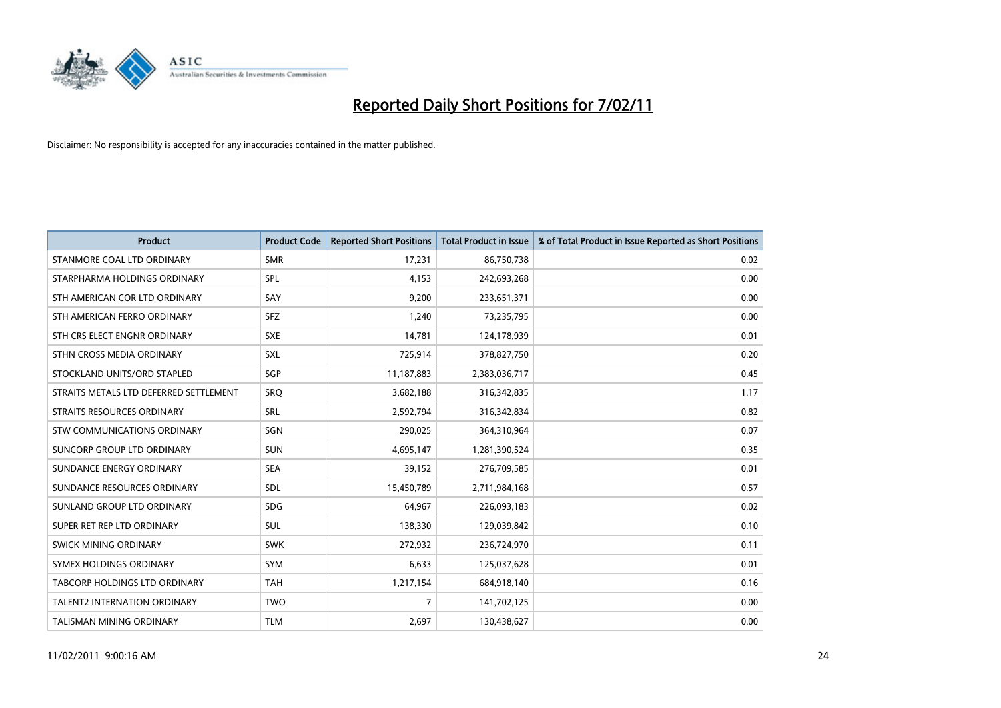

| <b>Product</b>                         | <b>Product Code</b> | <b>Reported Short Positions</b> | Total Product in Issue | % of Total Product in Issue Reported as Short Positions |
|----------------------------------------|---------------------|---------------------------------|------------------------|---------------------------------------------------------|
| STANMORE COAL LTD ORDINARY             | <b>SMR</b>          | 17,231                          | 86,750,738             | 0.02                                                    |
| STARPHARMA HOLDINGS ORDINARY           | SPL                 | 4,153                           | 242,693,268            | 0.00                                                    |
| STH AMERICAN COR LTD ORDINARY          | SAY                 | 9,200                           | 233,651,371            | 0.00                                                    |
| STH AMERICAN FERRO ORDINARY            | <b>SFZ</b>          | 1,240                           | 73,235,795             | 0.00                                                    |
| STH CRS ELECT ENGNR ORDINARY           | <b>SXE</b>          | 14,781                          | 124,178,939            | 0.01                                                    |
| STHN CROSS MEDIA ORDINARY              | <b>SXL</b>          | 725,914                         | 378,827,750            | 0.20                                                    |
| STOCKLAND UNITS/ORD STAPLED            | SGP                 | 11,187,883                      | 2,383,036,717          | 0.45                                                    |
| STRAITS METALS LTD DEFERRED SETTLEMENT | SRQ                 | 3,682,188                       | 316, 342, 835          | 1.17                                                    |
| STRAITS RESOURCES ORDINARY             | <b>SRL</b>          | 2,592,794                       | 316, 342, 834          | 0.82                                                    |
| STW COMMUNICATIONS ORDINARY            | SGN                 | 290,025                         | 364,310,964            | 0.07                                                    |
| SUNCORP GROUP LTD ORDINARY             | <b>SUN</b>          | 4,695,147                       | 1,281,390,524          | 0.35                                                    |
| SUNDANCE ENERGY ORDINARY               | <b>SEA</b>          | 39,152                          | 276,709,585            | 0.01                                                    |
| SUNDANCE RESOURCES ORDINARY            | <b>SDL</b>          | 15,450,789                      | 2,711,984,168          | 0.57                                                    |
| SUNLAND GROUP LTD ORDINARY             | <b>SDG</b>          | 64,967                          | 226,093,183            | 0.02                                                    |
| SUPER RET REP LTD ORDINARY             | <b>SUL</b>          | 138,330                         | 129,039,842            | 0.10                                                    |
| SWICK MINING ORDINARY                  | <b>SWK</b>          | 272,932                         | 236,724,970            | 0.11                                                    |
| SYMEX HOLDINGS ORDINARY                | <b>SYM</b>          | 6,633                           | 125,037,628            | 0.01                                                    |
| <b>TABCORP HOLDINGS LTD ORDINARY</b>   | <b>TAH</b>          | 1,217,154                       | 684,918,140            | 0.16                                                    |
| <b>TALENT2 INTERNATION ORDINARY</b>    | <b>TWO</b>          | $\overline{7}$                  | 141,702,125            | 0.00                                                    |
| <b>TALISMAN MINING ORDINARY</b>        | <b>TLM</b>          | 2,697                           | 130,438,627            | 0.00                                                    |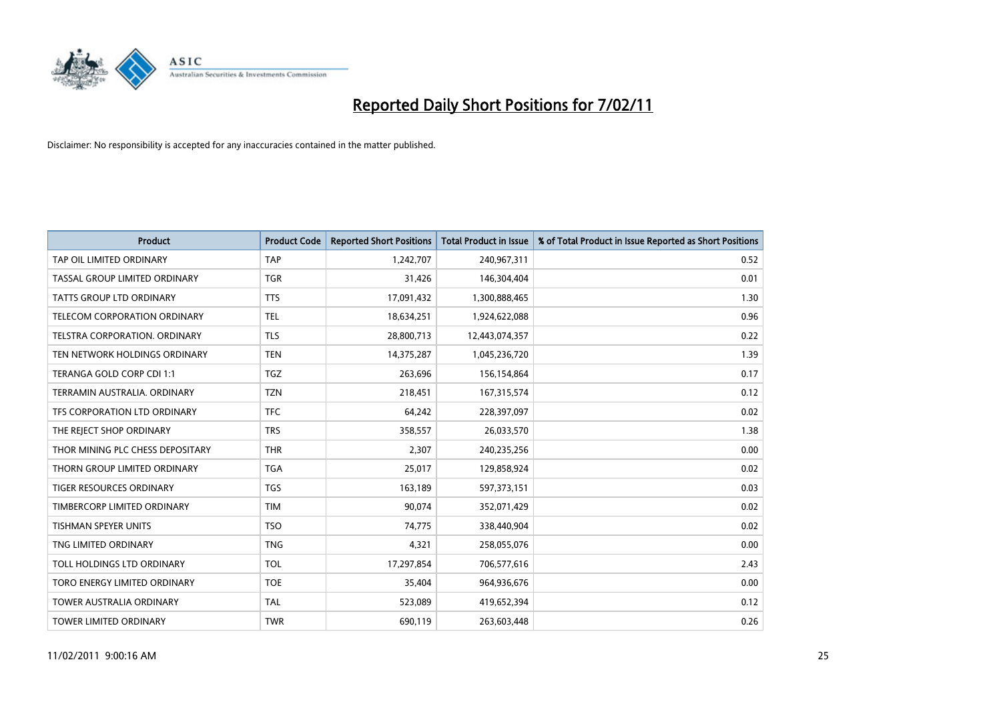

| <b>Product</b>                   | <b>Product Code</b> | <b>Reported Short Positions</b> | Total Product in Issue | % of Total Product in Issue Reported as Short Positions |
|----------------------------------|---------------------|---------------------------------|------------------------|---------------------------------------------------------|
| TAP OIL LIMITED ORDINARY         | <b>TAP</b>          | 1,242,707                       | 240,967,311            | 0.52                                                    |
| TASSAL GROUP LIMITED ORDINARY    | <b>TGR</b>          | 31,426                          | 146,304,404            | 0.01                                                    |
| <b>TATTS GROUP LTD ORDINARY</b>  | <b>TTS</b>          | 17,091,432                      | 1,300,888,465          | 1.30                                                    |
| TELECOM CORPORATION ORDINARY     | <b>TEL</b>          | 18,634,251                      | 1,924,622,088          | 0.96                                                    |
| TELSTRA CORPORATION, ORDINARY    | <b>TLS</b>          | 28,800,713                      | 12,443,074,357         | 0.22                                                    |
| TEN NETWORK HOLDINGS ORDINARY    | <b>TEN</b>          | 14,375,287                      | 1,045,236,720          | 1.39                                                    |
| TERANGA GOLD CORP CDI 1:1        | <b>TGZ</b>          | 263,696                         | 156,154,864            | 0.17                                                    |
| TERRAMIN AUSTRALIA, ORDINARY     | <b>TZN</b>          | 218,451                         | 167,315,574            | 0.12                                                    |
| TFS CORPORATION LTD ORDINARY     | <b>TFC</b>          | 64,242                          | 228,397,097            | 0.02                                                    |
| THE REJECT SHOP ORDINARY         | <b>TRS</b>          | 358,557                         | 26,033,570             | 1.38                                                    |
| THOR MINING PLC CHESS DEPOSITARY | <b>THR</b>          | 2,307                           | 240,235,256            | 0.00                                                    |
| THORN GROUP LIMITED ORDINARY     | <b>TGA</b>          | 25,017                          | 129,858,924            | 0.02                                                    |
| <b>TIGER RESOURCES ORDINARY</b>  | <b>TGS</b>          | 163,189                         | 597,373,151            | 0.03                                                    |
| TIMBERCORP LIMITED ORDINARY      | <b>TIM</b>          | 90.074                          | 352,071,429            | 0.02                                                    |
| <b>TISHMAN SPEYER UNITS</b>      | <b>TSO</b>          | 74,775                          | 338,440,904            | 0.02                                                    |
| TNG LIMITED ORDINARY             | <b>TNG</b>          | 4.321                           | 258,055,076            | 0.00                                                    |
| TOLL HOLDINGS LTD ORDINARY       | <b>TOL</b>          | 17,297,854                      | 706,577,616            | 2.43                                                    |
| TORO ENERGY LIMITED ORDINARY     | <b>TOE</b>          | 35,404                          | 964,936,676            | 0.00                                                    |
| <b>TOWER AUSTRALIA ORDINARY</b>  | <b>TAL</b>          | 523,089                         | 419,652,394            | 0.12                                                    |
| TOWER LIMITED ORDINARY           | <b>TWR</b>          | 690,119                         | 263,603,448            | 0.26                                                    |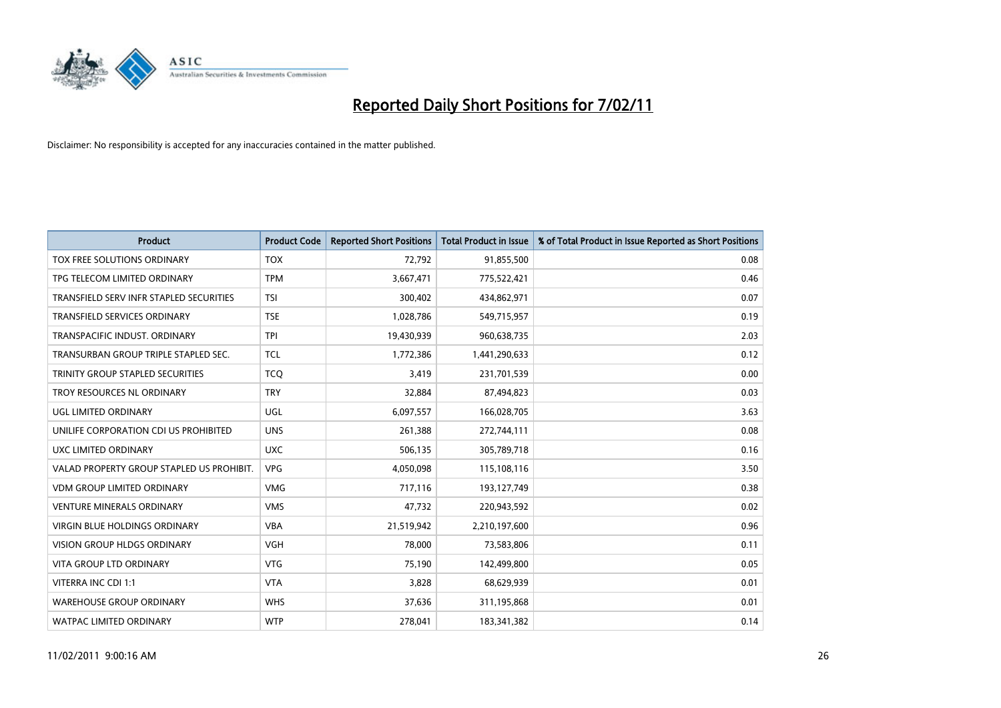

| <b>Product</b>                            | <b>Product Code</b> | <b>Reported Short Positions</b> | <b>Total Product in Issue</b> | % of Total Product in Issue Reported as Short Positions |
|-------------------------------------------|---------------------|---------------------------------|-------------------------------|---------------------------------------------------------|
| TOX FREE SOLUTIONS ORDINARY               | <b>TOX</b>          | 72,792                          | 91,855,500                    | 0.08                                                    |
| TPG TELECOM LIMITED ORDINARY              | <b>TPM</b>          | 3,667,471                       | 775,522,421                   | 0.46                                                    |
| TRANSFIELD SERV INFR STAPLED SECURITIES   | <b>TSI</b>          | 300,402                         | 434,862,971                   | 0.07                                                    |
| <b>TRANSFIELD SERVICES ORDINARY</b>       | <b>TSE</b>          | 1,028,786                       | 549,715,957                   | 0.19                                                    |
| TRANSPACIFIC INDUST, ORDINARY             | <b>TPI</b>          | 19,430,939                      | 960,638,735                   | 2.03                                                    |
| TRANSURBAN GROUP TRIPLE STAPLED SEC.      | <b>TCL</b>          | 1,772,386                       | 1,441,290,633                 | 0.12                                                    |
| TRINITY GROUP STAPLED SECURITIES          | <b>TCO</b>          | 3,419                           | 231,701,539                   | 0.00                                                    |
| TROY RESOURCES NL ORDINARY                | <b>TRY</b>          | 32,884                          | 87,494,823                    | 0.03                                                    |
| UGL LIMITED ORDINARY                      | UGL                 | 6,097,557                       | 166,028,705                   | 3.63                                                    |
| UNILIFE CORPORATION CDI US PROHIBITED     | <b>UNS</b>          | 261,388                         | 272,744,111                   | 0.08                                                    |
| UXC LIMITED ORDINARY                      | <b>UXC</b>          | 506,135                         | 305,789,718                   | 0.16                                                    |
| VALAD PROPERTY GROUP STAPLED US PROHIBIT. | <b>VPG</b>          | 4,050,098                       | 115,108,116                   | 3.50                                                    |
| <b>VDM GROUP LIMITED ORDINARY</b>         | <b>VMG</b>          | 717,116                         | 193,127,749                   | 0.38                                                    |
| <b>VENTURE MINERALS ORDINARY</b>          | <b>VMS</b>          | 47,732                          | 220,943,592                   | 0.02                                                    |
| VIRGIN BLUE HOLDINGS ORDINARY             | <b>VBA</b>          | 21,519,942                      | 2,210,197,600                 | 0.96                                                    |
| <b>VISION GROUP HLDGS ORDINARY</b>        | <b>VGH</b>          | 78,000                          | 73,583,806                    | 0.11                                                    |
| VITA GROUP LTD ORDINARY                   | <b>VTG</b>          | 75,190                          | 142,499,800                   | 0.05                                                    |
| VITERRA INC CDI 1:1                       | <b>VTA</b>          | 3,828                           | 68,629,939                    | 0.01                                                    |
| <b>WAREHOUSE GROUP ORDINARY</b>           | <b>WHS</b>          | 37,636                          | 311,195,868                   | 0.01                                                    |
| <b>WATPAC LIMITED ORDINARY</b>            | <b>WTP</b>          | 278,041                         | 183,341,382                   | 0.14                                                    |